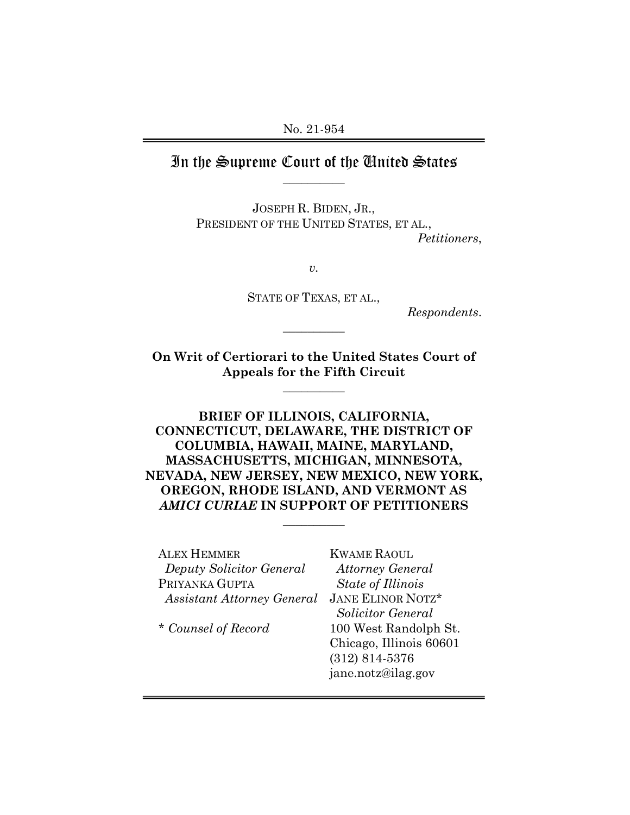No. 21-954

## In the Supreme Court of the United States **\_\_\_\_\_\_\_\_\_\_**

JOSEPH R. BIDEN, JR., PRESIDENT OF THE UNITED STATES, ET AL., *Petitioners*,

*v.*

STATE OF TEXAS, ET AL.,

**\_\_\_\_\_\_\_\_\_\_**

*Respondents*.

**On Writ of Certiorari to the United States Court of Appeals for the Fifth Circuit**

**\_\_\_\_\_\_\_\_\_\_**

**BRIEF OF ILLINOIS, CALIFORNIA, CONNECTICUT, DELAWARE, THE DISTRICT OF COLUMBIA, HAWAII, MAINE, MARYLAND, MASSACHUSETTS, MICHIGAN, MINNESOTA, NEVADA, NEW JERSEY, NEW MEXICO, NEW YORK, OREGON, RHODE ISLAND, AND VERMONT AS** *AMICI CURIAE* **IN SUPPORT OF PETITIONERS**

**\_\_\_\_\_\_\_\_\_\_**

| <b>ALEX HEMMER</b>                | <b>KWAME RAOUL</b>       |
|-----------------------------------|--------------------------|
| Deputy Solicitor General          | <b>Attorney General</b>  |
| PRIYANKA GUPTA                    | State of Illinois        |
| <b>Assistant Attorney General</b> | <b>JANE ELINOR NOTZ*</b> |
|                                   | Solicitor General        |
| * Counsel of Record               | 100 West Randolph St.    |
|                                   | Chicago, Illinois 60601  |
|                                   | $(312) 814 - 5376$       |

jane.notz@ilag.gov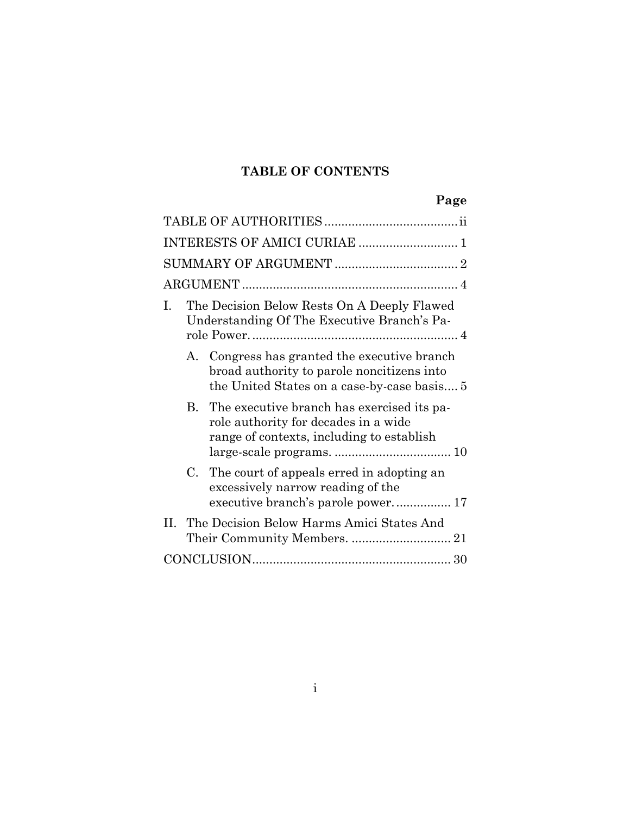## **TABLE OF CONTENTS**

# **Page**

| INTERESTS OF AMICI CURIAE  1                                                                                                              |
|-------------------------------------------------------------------------------------------------------------------------------------------|
|                                                                                                                                           |
|                                                                                                                                           |
| The Decision Below Rests On A Deeply Flawed<br>L<br>Understanding Of The Executive Branch's Pa-                                           |
| A. Congress has granted the executive branch<br>broad authority to parole noncitizens into<br>the United States on a case-by-case basis 5 |
| The executive branch has exercised its pa-<br>B.<br>role authority for decades in a wide<br>range of contexts, including to establish     |
| The court of appeals erred in adopting an<br>C.<br>excessively narrow reading of the<br>executive branch's parole power 17                |
| II. The Decision Below Harms Amici States And                                                                                             |
|                                                                                                                                           |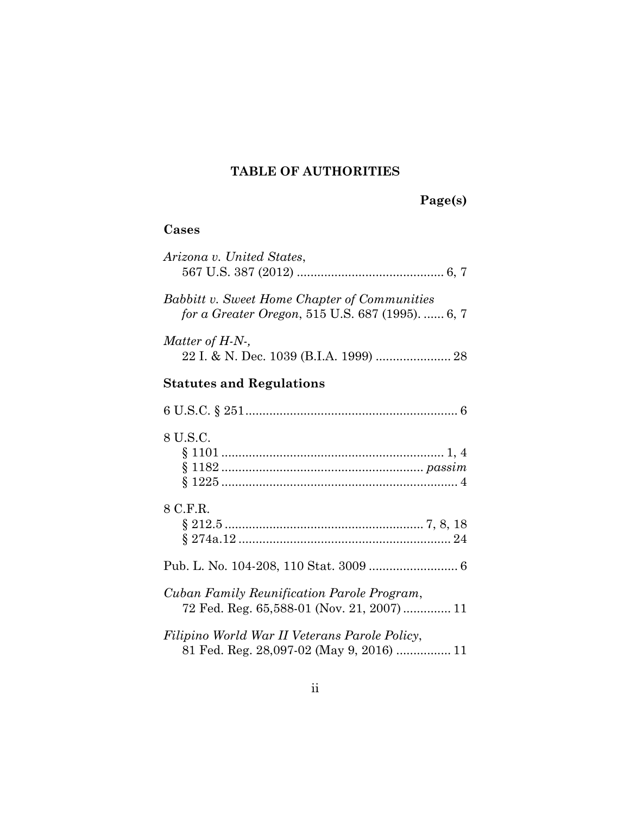## **TABLE OF AUTHORITIES**

**Page(s)**

## **Cases**

| Arizona v. United States,                                                                        |
|--------------------------------------------------------------------------------------------------|
| Babbitt v. Sweet Home Chapter of Communities<br>for a Greater Oregon, 515 U.S. 687 (1995).  6, 7 |
| Matter of $H-N$ -,                                                                               |
| <b>Statutes and Regulations</b>                                                                  |
|                                                                                                  |
| 8 U.S.C.                                                                                         |
| 8 C.F.R.                                                                                         |
|                                                                                                  |
| Cuban Family Reunification Parole Program,<br>72 Fed. Reg. 65,588-01 (Nov. 21, 2007) 11          |
| Filipino World War II Veterans Parole Policy,<br>81 Fed. Reg. 28,097-02 (May 9, 2016)  11        |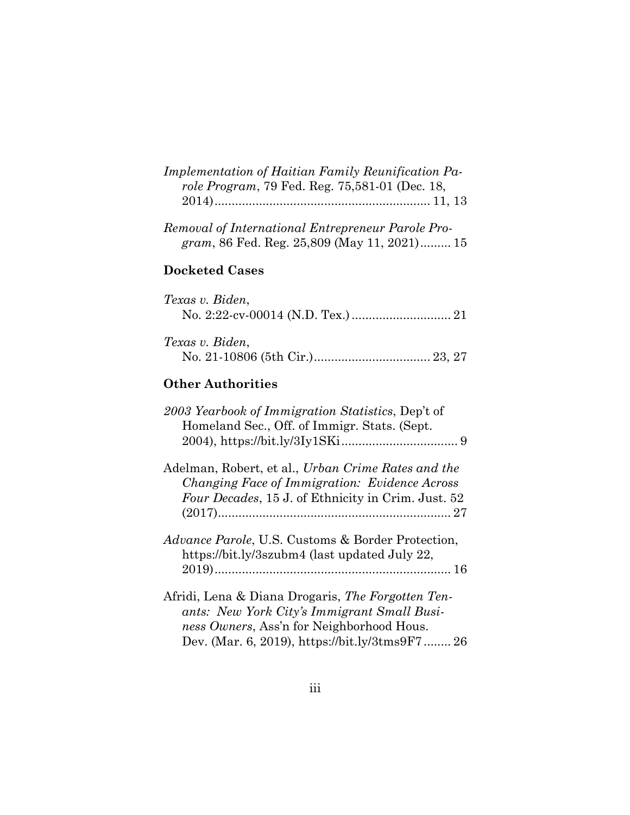| Implementation of Haitian Family Reunification Pa-<br>role Program, 79 Fed. Reg. 75,581-01 (Dec. 18,                                                      |
|-----------------------------------------------------------------------------------------------------------------------------------------------------------|
| Removal of International Entrepreneur Parole Pro-<br>gram, 86 Fed. Reg. 25,809 (May 11, 2021) 15                                                          |
| <b>Docketed Cases</b>                                                                                                                                     |
| Texas v. Biden,                                                                                                                                           |
| Texas v. Biden,                                                                                                                                           |
| <b>Other Authorities</b>                                                                                                                                  |
| 2003 Yearbook of Immigration Statistics, Dep't of<br>Homeland Sec., Off. of Immigr. Stats. (Sept.                                                         |
| Adelman, Robert, et al., Urban Crime Rates and the<br>Changing Face of Immigration: Evidence Across<br>Four Decades, 15 J. of Ethnicity in Crim. Just. 52 |
| <i>Advance Parole</i> , U.S. Customs & Border Protection,<br>https://bit.ly/3szubm4 (last updated July 22,                                                |
| Afridi, Lena & Diana Drogaris, The Forgotten Ten-                                                                                                         |

*ants: New York City's Immigrant Small Business Owners*, Ass'n for Neighborhood Hous. Dev. (Mar. 6, 2019), https://bit.ly/3tms9F7 ........ 26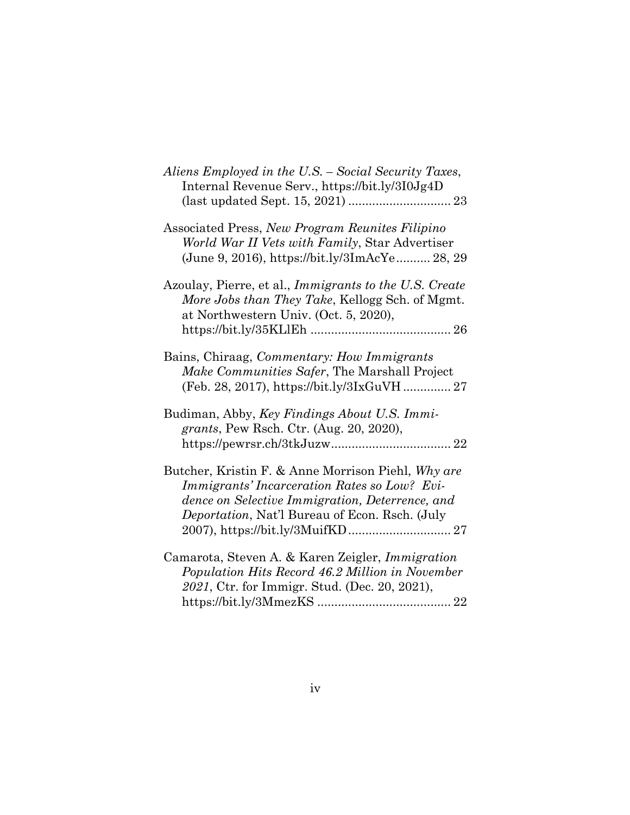| Aliens Employed in the U.S. - Social Security Taxes,<br>Internal Revenue Serv., https://bit.ly/3I0Jg4D                                                                                                  |
|---------------------------------------------------------------------------------------------------------------------------------------------------------------------------------------------------------|
| Associated Press, New Program Reunites Filipino<br>World War II Vets with Family, Star Advertiser<br>(June 9, 2016), https://bit.ly/3ImAcYe 28, 29                                                      |
| Azoulay, Pierre, et al., Immigrants to the U.S. Create<br>More Jobs than They Take, Kellogg Sch. of Mgmt.<br>at Northwestern Univ. (Oct. 5, 2020),                                                      |
| Bains, Chiraag, Commentary: How Immigrants<br>Make Communities Safer, The Marshall Project<br>(Feb. 28, 2017), https://bit.ly/3IxGuVH 27                                                                |
| Budiman, Abby, Key Findings About U.S. Immi-<br>grants, Pew Rsch. Ctr. (Aug. 20, 2020),                                                                                                                 |
| Butcher, Kristin F. & Anne Morrison Piehl, Why are<br>Immigrants' Incarceration Rates so Low? Evi-<br>dence on Selective Immigration, Deterrence, and<br>Deportation, Nat'l Bureau of Econ. Rsch. (July |
| Camarota, Steven A. & Karen Zeigler, Immigration<br>Population Hits Record 46.2 Million in November<br>2021, Ctr. for Immigr. Stud. (Dec. 20, 2021),                                                    |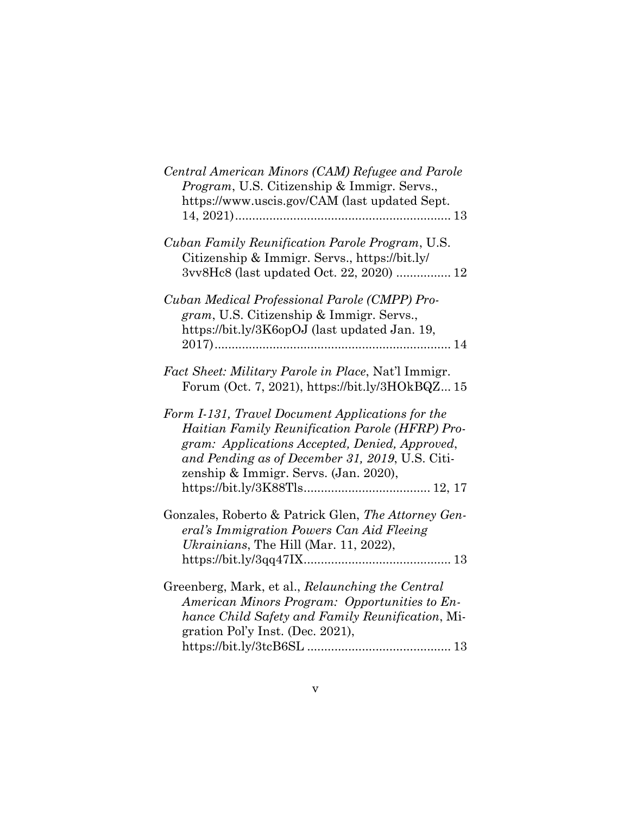| Central American Minors (CAM) Refugee and Parole<br><i>Program</i> , U.S. Citizenship & Immigr. Servs.,                                                                                                                                           |
|---------------------------------------------------------------------------------------------------------------------------------------------------------------------------------------------------------------------------------------------------|
| https://www.uscis.gov/CAM (last updated Sept.                                                                                                                                                                                                     |
| Cuban Family Reunification Parole Program, U.S.<br>Citizenship & Immigr. Servs., https://bit.ly/<br>3vv8Hc8 (last updated Oct. 22, 2020)  12                                                                                                      |
| Cuban Medical Professional Parole (CMPP) Pro-<br>gram, U.S. Citizenship & Immigr. Servs.,<br>https://bit.ly/3K6opOJ (last updated Jan. 19,                                                                                                        |
|                                                                                                                                                                                                                                                   |
| Fact Sheet: Military Parole in Place, Nat'l Immigr.<br>Forum (Oct. 7, 2021), https://bit.ly/3HOkBQZ15                                                                                                                                             |
| Form I-131, Travel Document Applications for the<br>Haitian Family Reunification Parole (HFRP) Pro-<br>gram: Applications Accepted, Denied, Approved,<br>and Pending as of December 31, 2019, U.S. Citi-<br>zenship & Immigr. Servs. (Jan. 2020), |
|                                                                                                                                                                                                                                                   |
| Gonzales, Roberto & Patrick Glen, The Attorney Gen-<br>eral's Immigration Powers Can Aid Fleeing                                                                                                                                                  |
| <i>Ukrainians</i> , The Hill (Mar. 11, 2022),                                                                                                                                                                                                     |
|                                                                                                                                                                                                                                                   |
| Greenberg, Mark, et al., Relaunching the Central                                                                                                                                                                                                  |
| American Minors Program: Opportunities to En-                                                                                                                                                                                                     |
| hance Child Safety and Family Reunification, Mi-<br>gration Pol'y Inst. (Dec. 2021),                                                                                                                                                              |
|                                                                                                                                                                                                                                                   |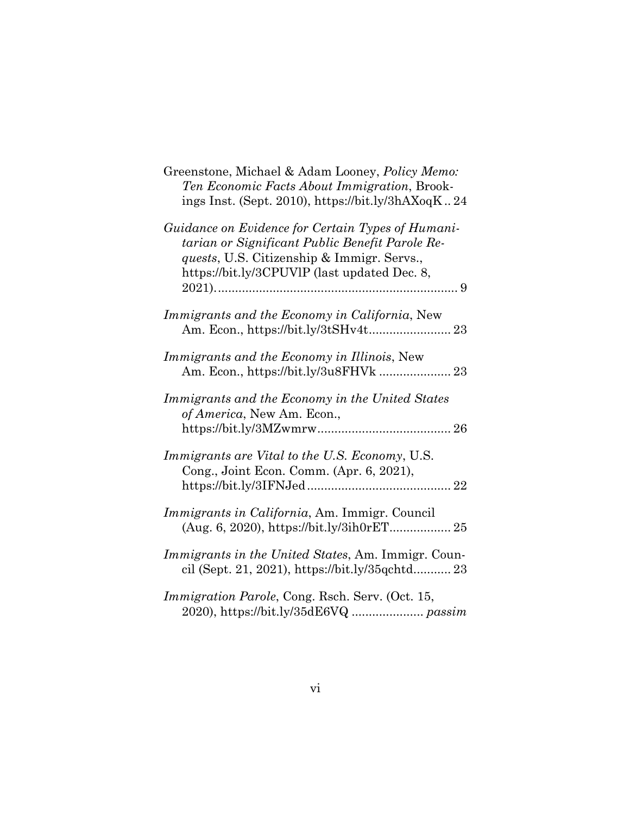| Greenstone, Michael & Adam Looney, <i>Policy Memo</i> :<br>Ten Economic Facts About Immigration, Brook-<br>ings Inst. (Sept. 2010), https://bit.ly/3hAXoqK24                                               |
|------------------------------------------------------------------------------------------------------------------------------------------------------------------------------------------------------------|
| Guidance on Evidence for Certain Types of Humani-<br>tarian or Significant Public Benefit Parole Re-<br><i>quests</i> , U.S. Citizenship & Immigr. Servs.,<br>https://bit.ly/3CPUVIP (last updated Dec. 8, |
| Immigrants and the Economy in California, New                                                                                                                                                              |
| Immigrants and the Economy in Illinois, New                                                                                                                                                                |
| Immigrants and the Economy in the United States<br>of America, New Am. Econ.,                                                                                                                              |
| Immigrants are Vital to the U.S. Economy, U.S.<br>Cong., Joint Econ. Comm. (Apr. 6, 2021),                                                                                                                 |
| Immigrants in California, Am. Immigr. Council                                                                                                                                                              |
| <i>Immigrants in the United States, Am. Immigr. Coun-</i><br>cil (Sept. 21, 2021), https://bit.ly/35qchtd 23                                                                                               |
| <i>Immigration Parole, Cong. Rsch. Serv. (Oct. 15,</i>                                                                                                                                                     |

2020), https://bit.ly/35dE6VQ ..................... *passim*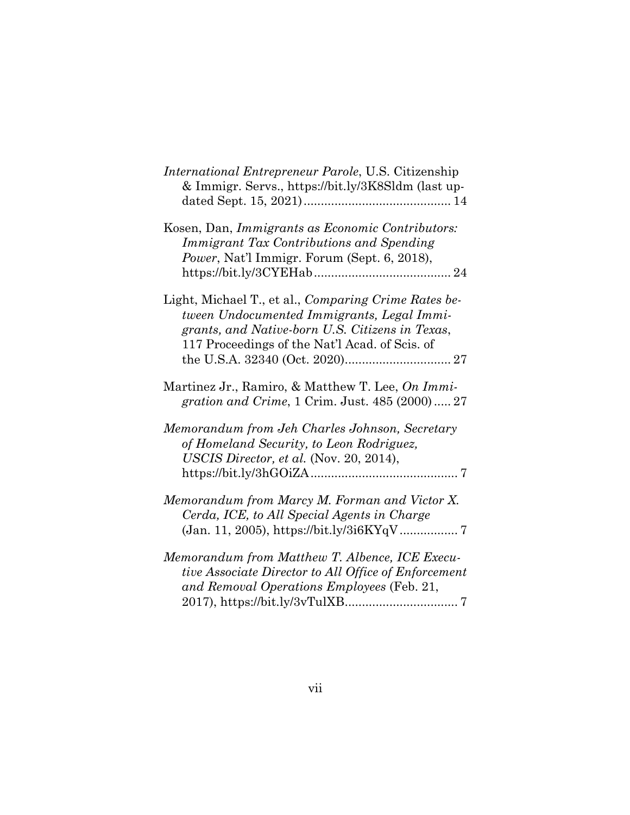| <i>International Entrepreneur Parole, U.S. Citizenship</i><br>& Immigr. Servs., https://bit.ly/3K8Sldm (last up-                                                                                        |
|---------------------------------------------------------------------------------------------------------------------------------------------------------------------------------------------------------|
| Kosen, Dan, Immigrants as Economic Contributors:<br>Immigrant Tax Contributions and Spending<br>Power, Nat'l Immigr. Forum (Sept. 6, 2018),                                                             |
| Light, Michael T., et al., Comparing Crime Rates be-<br>tween Undocumented Immigrants, Legal Immi-<br>grants, and Native-born U.S. Citizens in Texas,<br>117 Proceedings of the Nat'l Acad. of Scis. of |
| Martinez Jr., Ramiro, & Matthew T. Lee, On Immi-<br>gration and Crime, 1 Crim. Just. 485 (2000) 27                                                                                                      |
| Memorandum from Jeh Charles Johnson, Secretary<br>of Homeland Security, to Leon Rodriguez,<br>USCIS Director, et al. (Nov. 20, 2014),                                                                   |
| Memorandum from Marcy M. Forman and Victor X.<br>Cerda, ICE, to All Special Agents in Charge                                                                                                            |
| Memorandum from Matthew T. Albence, ICE Execu-<br>tive Associate Director to All Office of Enforcement<br>and Removal Operations Employees (Feb. 21,                                                    |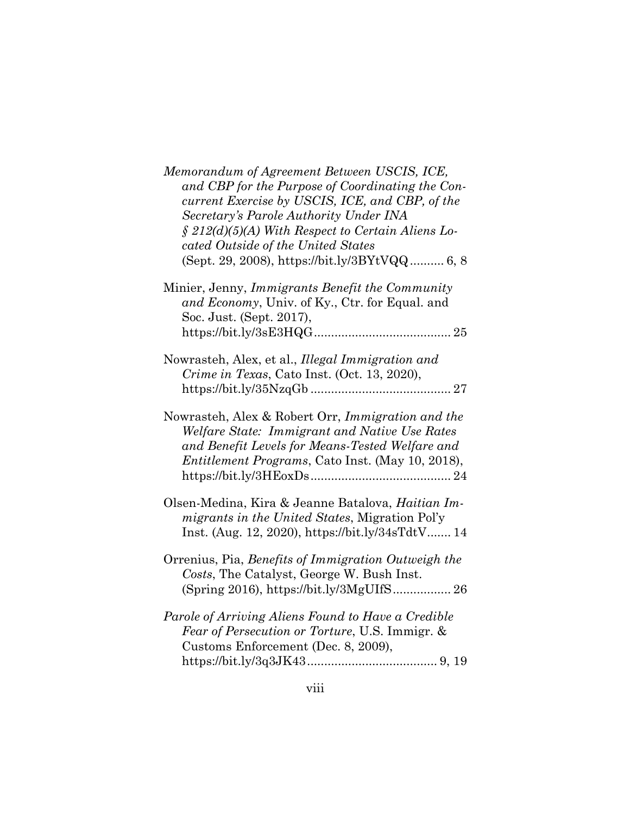| Memorandum of Agreement Between USCIS, ICE,<br>and CBP for the Purpose of Coordinating the Con-<br>current Exercise by USCIS, ICE, and CBP, of the<br>Secretary's Parole Authority Under INA<br>$\S$ 212(d)(5)(A) With Respect to Certain Aliens Lo-<br>cated Outside of the United States<br>(Sept. 29, 2008), https://bit.ly/3BYtVQQ 6, 8 |
|---------------------------------------------------------------------------------------------------------------------------------------------------------------------------------------------------------------------------------------------------------------------------------------------------------------------------------------------|
| Minier, Jenny, Immigrants Benefit the Community<br>and Economy, Univ. of Ky., Ctr. for Equal. and<br>Soc. Just. (Sept. 2017),                                                                                                                                                                                                               |
| Nowrasteh, Alex, et al., Illegal Immigration and<br>Crime in Texas, Cato Inst. (Oct. 13, 2020),                                                                                                                                                                                                                                             |
| Nowrasteh, Alex & Robert Orr, Immigration and the<br>Welfare State: Immigrant and Native Use Rates<br>and Benefit Levels for Means-Tested Welfare and<br>Entitlement Programs, Cato Inst. (May 10, 2018),                                                                                                                                   |
| Olsen-Medina, Kira & Jeanne Batalova, Haitian Im-<br>migrants in the United States, Migration Pol'y<br>Inst. (Aug. 12, 2020), https://bit.ly/34sTdtV 14                                                                                                                                                                                     |
| Orrenius, Pia, Benefits of Immigration Outweigh the<br>Costs, The Catalyst, George W. Bush Inst.                                                                                                                                                                                                                                            |
| Parole of Arriving Aliens Found to Have a Credible<br>Fear of Persecution or Torture, U.S. Immigr. &<br>Customs Enforcement (Dec. 8, 2009),                                                                                                                                                                                                 |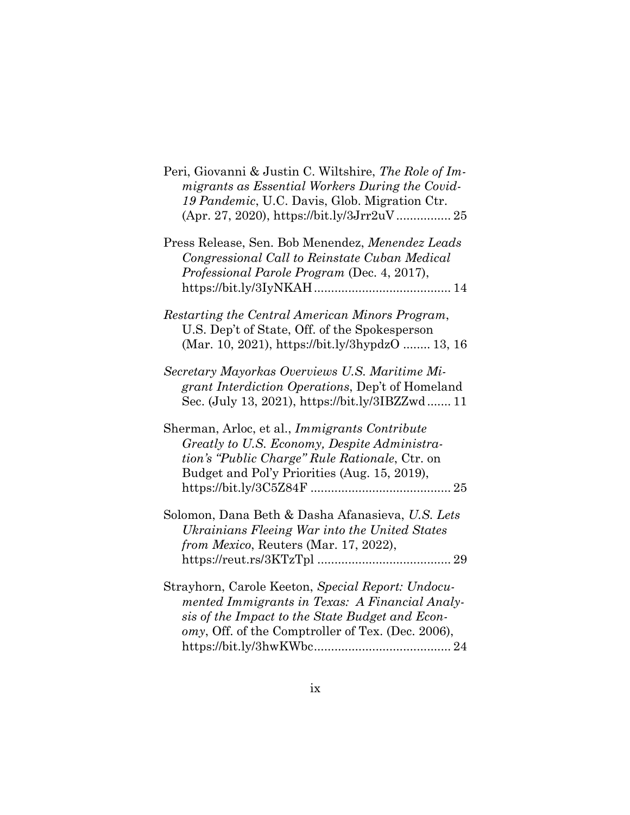| Peri, Giovanni & Justin C. Wiltshire, The Role of Im-<br>migrants as Essential Workers During the Covid-<br>19 Pandemic, U.C. Davis, Glob. Migration Ctr.                                                   |
|-------------------------------------------------------------------------------------------------------------------------------------------------------------------------------------------------------------|
| Press Release, Sen. Bob Menendez, Menendez Leads<br>Congressional Call to Reinstate Cuban Medical<br>Professional Parole Program (Dec. 4, 2017),                                                            |
| Restarting the Central American Minors Program,<br>U.S. Dep't of State, Off. of the Spokesperson<br>(Mar. 10, 2021), https://bit.ly/3hypdzO  13, 16                                                         |
| Secretary Mayorkas Overviews U.S. Maritime Mi-<br>grant Interdiction Operations, Dep't of Homeland<br>Sec. (July 13, 2021), https://bit.ly/3IBZZwd 11                                                       |
| Sherman, Arloc, et al., Immigrants Contribute<br>Greatly to U.S. Economy, Despite Administra-<br>tion's "Public Charge" Rule Rationale, Ctr. on<br>Budget and Pol'y Priorities (Aug. 15, 2019),             |
| Solomon, Dana Beth & Dasha Afanasieva, U.S. Lets<br>Ukrainians Fleeing War into the United States<br>from Mexico, Reuters (Mar. 17, 2022),                                                                  |
| Strayhorn, Carole Keeton, Special Report: Undocu-<br>mented Immigrants in Texas: A Financial Analy-<br>sis of the Impact to the State Budget and Econ-<br>omy, Off. of the Comptroller of Tex. (Dec. 2006), |

https://bit.ly/3hwKWbc........................................ 24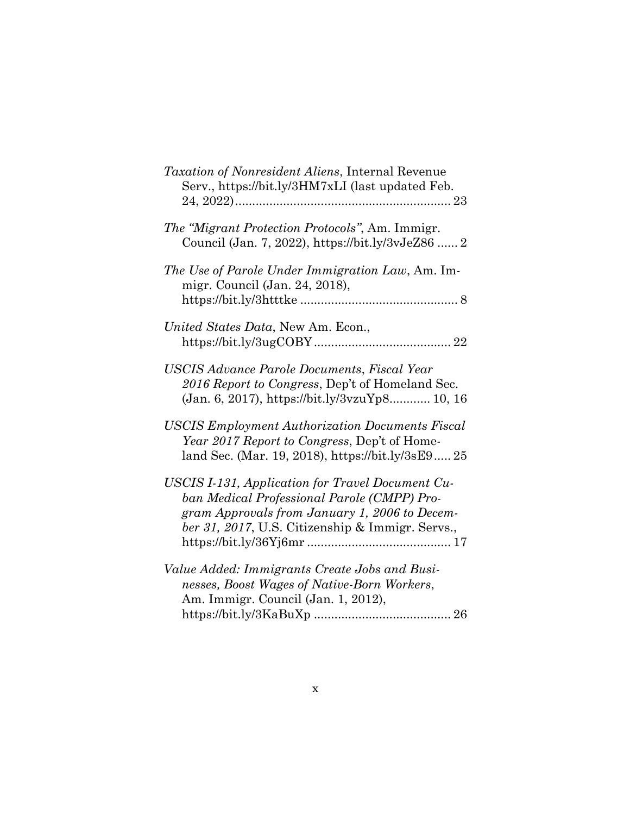| Taxation of Nonresident Aliens, Internal Revenue<br>Serv., https://bit.ly/3HM7xLI (last updated Feb.                                                                                                 |
|------------------------------------------------------------------------------------------------------------------------------------------------------------------------------------------------------|
| The "Migrant Protection Protocols", Am. Immigr.<br>Council (Jan. 7, 2022), https://bit.ly/3vJeZ86  2                                                                                                 |
| The Use of Parole Under Immigration Law, Am. Im-<br>migr. Council (Jan. 24, 2018),                                                                                                                   |
| United States Data, New Am. Econ.,                                                                                                                                                                   |
| USCIS Advance Parole Documents, Fiscal Year<br>2016 Report to Congress, Dep't of Homeland Sec.<br>(Jan. 6, 2017), https://bit.ly/3vzuYp8 10, 16                                                      |
| <b>USCIS Employment Authorization Documents Fiscal</b><br>Year 2017 Report to Congress, Dep't of Home-<br>land Sec. (Mar. 19, 2018), https://bit.ly/3sE9 25                                          |
| USCIS I-131, Application for Travel Document Cu-<br>ban Medical Professional Parole (CMPP) Pro-<br>gram Approvals from January 1, 2006 to Decem-<br>ber 31, 2017, U.S. Citizenship & Immigr. Servs., |
| Value Added: Immigrants Create Jobs and Busi-<br>nesses, Boost Wages of Native-Born Workers,<br>Am. Immigr. Council (Jan. 1, 2012),                                                                  |
|                                                                                                                                                                                                      |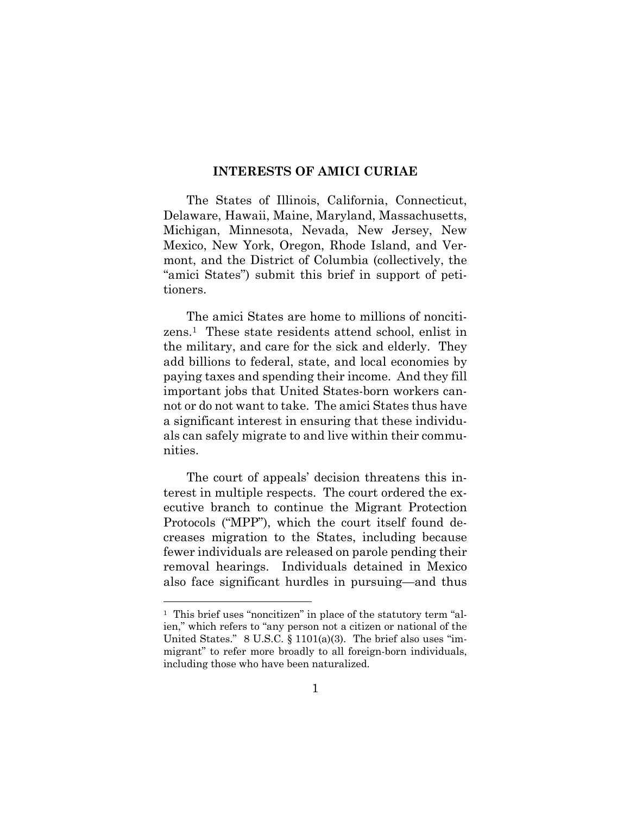#### **INTERESTS OF AMICI CURIAE**

The States of Illinois, California, Connecticut, Delaware, Hawaii, Maine, Maryland, Massachusetts, Michigan, Minnesota, Nevada, New Jersey, New Mexico, New York, Oregon, Rhode Island, and Vermont, and the District of Columbia (collectively, the "amici States") submit this brief in support of petitioners.

The amici States are home to millions of noncitizens.1 These state residents attend school, enlist in the military, and care for the sick and elderly. They add billions to federal, state, and local economies by paying taxes and spending their income. And they fill important jobs that United States-born workers cannot or do not want to take. The amici States thus have a significant interest in ensuring that these individuals can safely migrate to and live within their communities.

The court of appeals' decision threatens this interest in multiple respects. The court ordered the executive branch to continue the Migrant Protection Protocols ("MPP"), which the court itself found decreases migration to the States, including because fewer individuals are released on parole pending their removal hearings. Individuals detained in Mexico also face significant hurdles in pursuing—and thus

<sup>1</sup> This brief uses "noncitizen" in place of the statutory term "alien," which refers to "any person not a citizen or national of the United States."  $8 \text{ U.S.C. } \S 1101(a)(3)$ . The brief also uses "immigrant" to refer more broadly to all foreign-born individuals, including those who have been naturalized.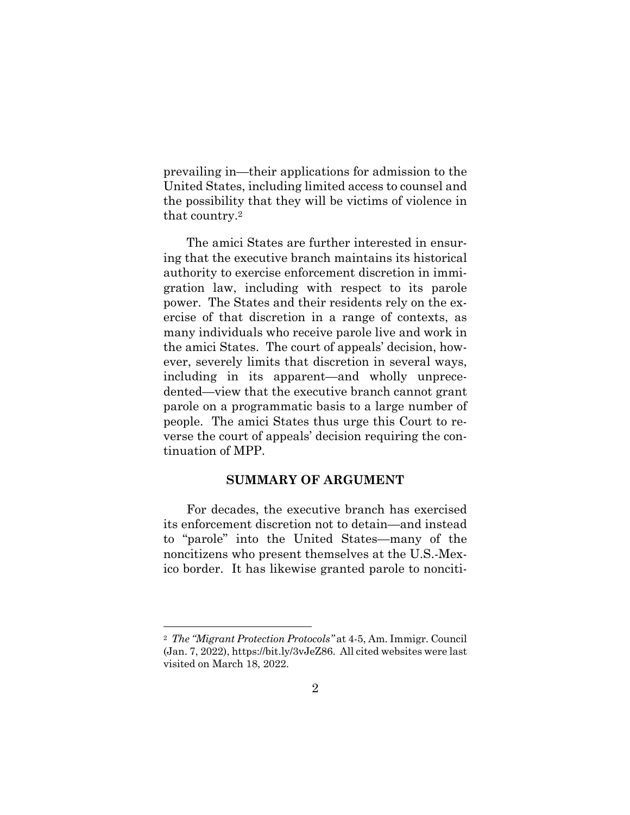prevailing in—their applications for admission to the United States, including limited access to counsel and the possibility that they will be victims of violence in that country.<sup>2</sup>

The amici States are further interested in ensuring that the executive branch maintains its historical authority to exercise enforcement discretion in immigration law, including with respect to its parole power. The States and their residents rely on the exercise of that discretion in a range of contexts, as many individuals who receive parole live and work in the amici States. The court of appeals' decision, however, severely limits that discretion in several ways, including in its apparent—and wholly unprecedented—view that the executive branch cannot grant parole on a programmatic basis to a large number of people. The amici States thus urge this Court to reverse the court of appeals' decision requiring the continuation of MPP.

#### **SUMMARY OF ARGUMENT**

For decades, the executive branch has exercised its enforcement discretion not to detain—and instead to "parole" into the United States—many of the noncitizens who present themselves at the U.S.-Mexico border. It has likewise granted parole to nonciti-

<sup>2</sup> *The "Migrant Protection Protocols"* at 4-5, Am. Immigr. Council (Jan. 7, 2022), https://bit.ly/3vJeZ86. All cited websites were last visited on March 18, 2022.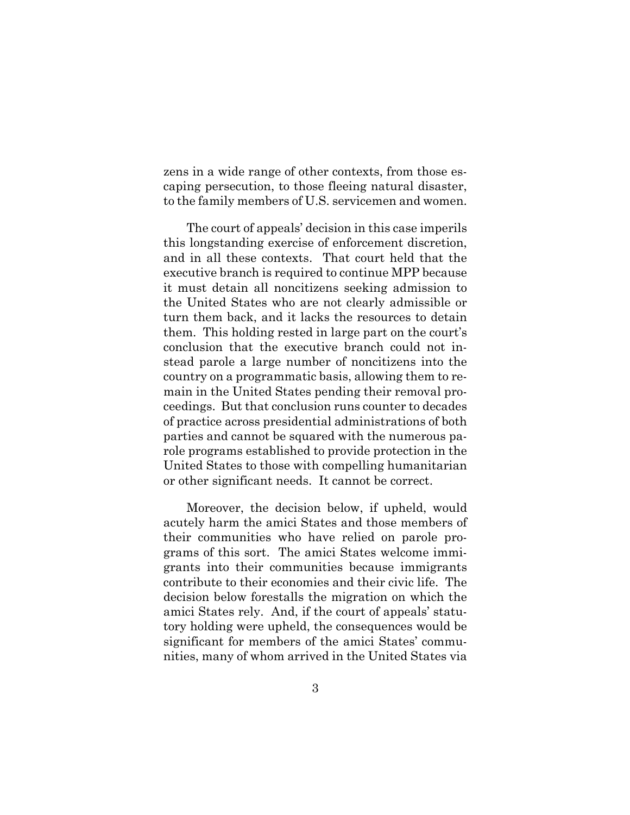zens in a wide range of other contexts, from those escaping persecution, to those fleeing natural disaster, to the family members of U.S. servicemen and women.

The court of appeals' decision in this case imperils this longstanding exercise of enforcement discretion, and in all these contexts. That court held that the executive branch is required to continue MPP because it must detain all noncitizens seeking admission to the United States who are not clearly admissible or turn them back, and it lacks the resources to detain them. This holding rested in large part on the court's conclusion that the executive branch could not instead parole a large number of noncitizens into the country on a programmatic basis, allowing them to remain in the United States pending their removal proceedings. But that conclusion runs counter to decades of practice across presidential administrations of both parties and cannot be squared with the numerous parole programs established to provide protection in the United States to those with compelling humanitarian or other significant needs. It cannot be correct.

Moreover, the decision below, if upheld, would acutely harm the amici States and those members of their communities who have relied on parole programs of this sort. The amici States welcome immigrants into their communities because immigrants contribute to their economies and their civic life. The decision below forestalls the migration on which the amici States rely. And, if the court of appeals' statutory holding were upheld, the consequences would be significant for members of the amici States' communities, many of whom arrived in the United States via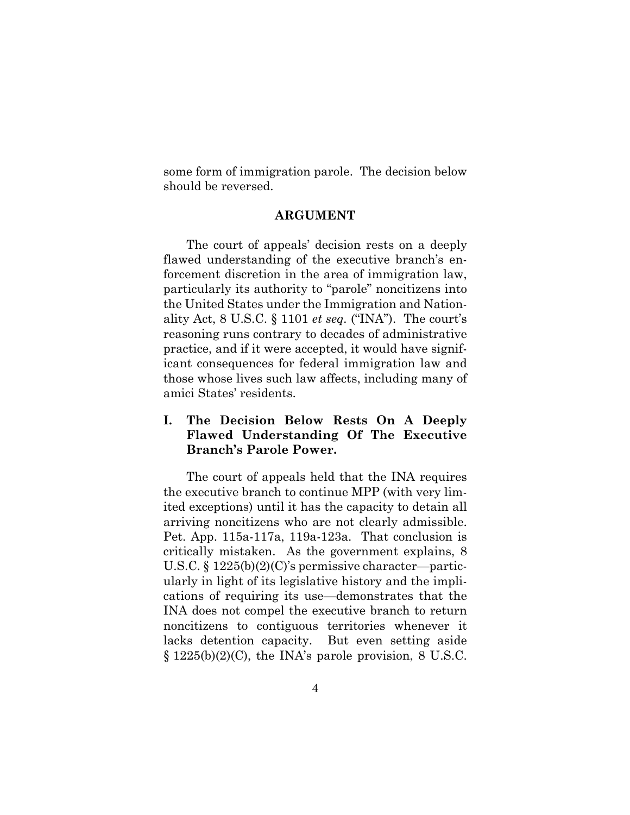some form of immigration parole. The decision below should be reversed.

#### **ARGUMENT**

The court of appeals' decision rests on a deeply flawed understanding of the executive branch's enforcement discretion in the area of immigration law, particularly its authority to "parole" noncitizens into the United States under the Immigration and Nationality Act, 8 U.S.C. § 1101 *et seq.* ("INA"). The court's reasoning runs contrary to decades of administrative practice, and if it were accepted, it would have significant consequences for federal immigration law and those whose lives such law affects, including many of amici States' residents.

### **I. The Decision Below Rests On A Deeply Flawed Understanding Of The Executive Branch's Parole Power.**

The court of appeals held that the INA requires the executive branch to continue MPP (with very limited exceptions) until it has the capacity to detain all arriving noncitizens who are not clearly admissible. Pet. App. 115a-117a, 119a-123a. That conclusion is critically mistaken. As the government explains, 8 U.S.C. § 1225(b)(2)(C)'s permissive character—particularly in light of its legislative history and the implications of requiring its use—demonstrates that the INA does not compel the executive branch to return noncitizens to contiguous territories whenever it lacks detention capacity. But even setting aside  $\S 1225(b)(2)(C)$ , the INA's parole provision, 8 U.S.C.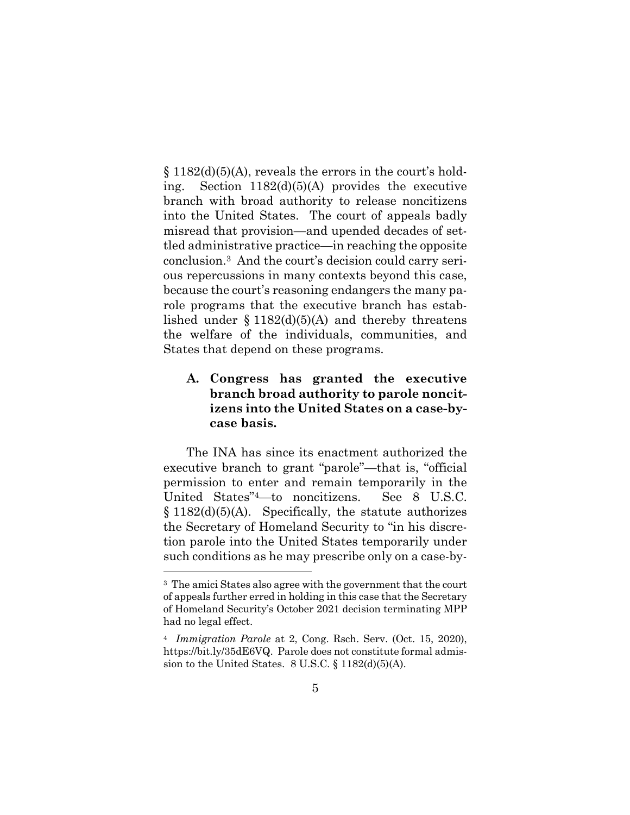$\S 1182(d)(5)(A)$ , reveals the errors in the court's holding. Section 1182(d)(5)(A) provides the executive branch with broad authority to release noncitizens into the United States. The court of appeals badly misread that provision—and upended decades of settled administrative practice—in reaching the opposite conclusion.3 And the court's decision could carry serious repercussions in many contexts beyond this case, because the court's reasoning endangers the many parole programs that the executive branch has established under  $\S 1182(d)(5)(A)$  and thereby threatens the welfare of the individuals, communities, and States that depend on these programs.

### **A. Congress has granted the executive branch broad authority to parole noncitizens into the United States on a case-bycase basis.**

The INA has since its enactment authorized the executive branch to grant "parole"—that is, "official permission to enter and remain temporarily in the United States"4—to noncitizens. See 8 U.S.C.  $§ 1182(d)(5)(A)$ . Specifically, the statute authorizes the Secretary of Homeland Security to "in his discretion parole into the United States temporarily under such conditions as he may prescribe only on a case-by-

<sup>3</sup> The amici States also agree with the government that the court of appeals further erred in holding in this case that the Secretary of Homeland Security's October 2021 decision terminating MPP had no legal effect.

<sup>4</sup> *Immigration Parole* at 2, Cong. Rsch. Serv. (Oct. 15, 2020), https://bit.ly/35dE6VQ. Parole does not constitute formal admission to the United States. 8 U.S.C. § 1182(d)(5)(A).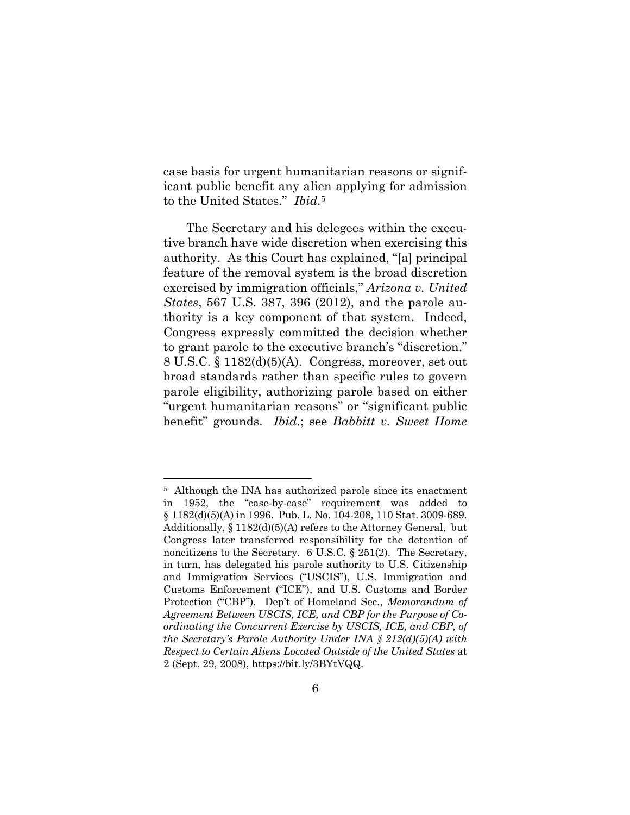case basis for urgent humanitarian reasons or significant public benefit any alien applying for admission to the United States." *Ibid.*<sup>5</sup>

The Secretary and his delegees within the executive branch have wide discretion when exercising this authority. As this Court has explained, "[a] principal feature of the removal system is the broad discretion exercised by immigration officials," *Arizona v. United States*, 567 U.S. 387, 396 (2012), and the parole authority is a key component of that system. Indeed, Congress expressly committed the decision whether to grant parole to the executive branch's "discretion." 8 U.S.C. § 1182(d)(5)(A). Congress, moreover, set out broad standards rather than specific rules to govern parole eligibility, authorizing parole based on either "urgent humanitarian reasons" or "significant public benefit" grounds. *Ibid.*; see *Babbitt v. Sweet Home* 

<sup>5</sup> Although the INA has authorized parole since its enactment in 1952, the "case-by-case" requirement was added to § 1182(d)(5)(A) in 1996. Pub. L. No. 104-208, 110 Stat. 3009-689. Additionally, § 1182(d)(5)(A) refers to the Attorney General, but Congress later transferred responsibility for the detention of noncitizens to the Secretary. 6 U.S.C. § 251(2). The Secretary, in turn, has delegated his parole authority to U.S. Citizenship and Immigration Services ("USCIS"), U.S. Immigration and Customs Enforcement ("ICE"), and U.S. Customs and Border Protection ("CBP"). Dep't of Homeland Sec., *Memorandum of Agreement Between USCIS, ICE, and CBP for the Purpose of Coordinating the Concurrent Exercise by USCIS, ICE, and CBP, of the Secretary's Parole Authority Under INA § 212(d)(5)(A) with Respect to Certain Aliens Located Outside of the United States* at 2 (Sept. 29, 2008), https://bit.ly/3BYtVQQ.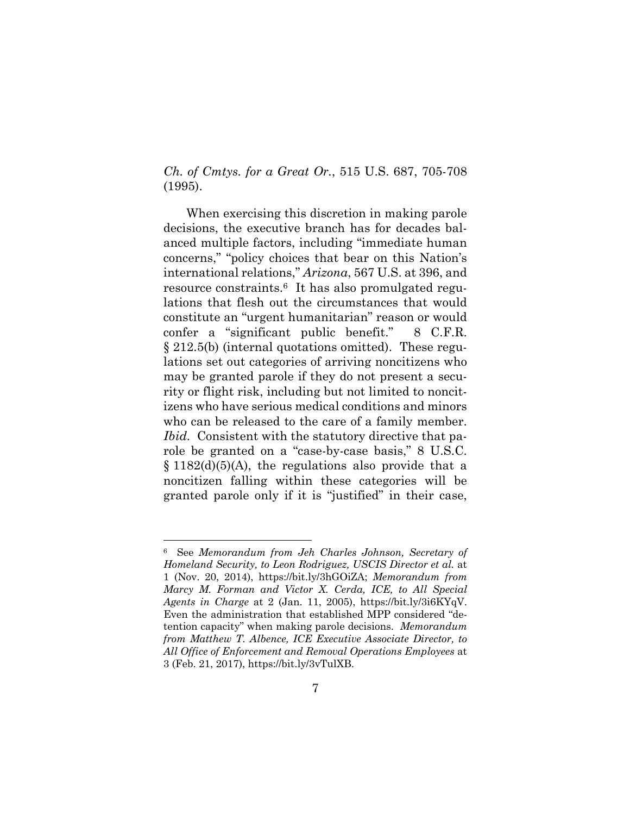*Ch. of Cmtys. for a Great Or.*, 515 U.S. 687, 705-708 (1995).

When exercising this discretion in making parole decisions, the executive branch has for decades balanced multiple factors, including "immediate human concerns," "policy choices that bear on this Nation's international relations," *Arizona*, 567 U.S. at 396, and resource constraints.6 It has also promulgated regulations that flesh out the circumstances that would constitute an "urgent humanitarian" reason or would confer a "significant public benefit." 8 C.F.R. § 212.5(b) (internal quotations omitted). These regulations set out categories of arriving noncitizens who may be granted parole if they do not present a security or flight risk, including but not limited to noncitizens who have serious medical conditions and minors who can be released to the care of a family member. *Ibid.* Consistent with the statutory directive that parole be granted on a "case-by-case basis," 8 U.S.C.  $\S 1182(d)(5)(A)$ , the regulations also provide that a noncitizen falling within these categories will be granted parole only if it is "justified" in their case,

<sup>6</sup> See *Memorandum from Jeh Charles Johnson, Secretary of Homeland Security, to Leon Rodriguez, USCIS Director et al.* at 1 (Nov. 20, 2014), https://bit.ly/3hGOiZA; *Memorandum from Marcy M. Forman and Victor X. Cerda, ICE, to All Special Agents in Charge* at 2 (Jan. 11, 2005), https://bit.ly/3i6KYqV. Even the administration that established MPP considered "detention capacity" when making parole decisions. *Memorandum from Matthew T. Albence, ICE Executive Associate Director, to All Office of Enforcement and Removal Operations Employees* at 3 (Feb. 21, 2017), https://bit.ly/3vTulXB.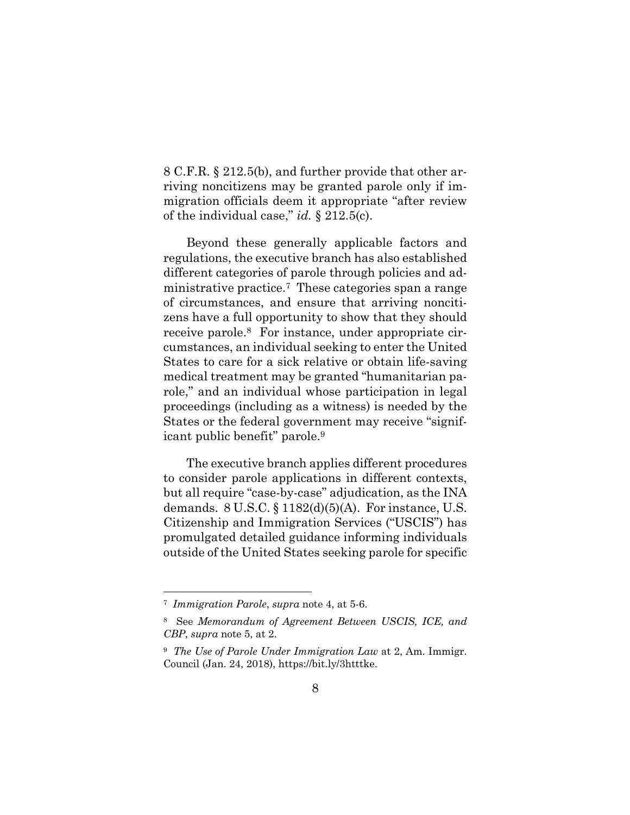8 C.F.R. § 212.5(b), and further provide that other arriving noncitizens may be granted parole only if immigration officials deem it appropriate "after review of the individual case," *id.* § 212.5(c).

Beyond these generally applicable factors and regulations, the executive branch has also established different categories of parole through policies and administrative practice.7 These categories span a range of circumstances, and ensure that arriving noncitizens have a full opportunity to show that they should receive parole.8 For instance, under appropriate circumstances, an individual seeking to enter the United States to care for a sick relative or obtain life-saving medical treatment may be granted "humanitarian parole," and an individual whose participation in legal proceedings (including as a witness) is needed by the States or the federal government may receive "significant public benefit" parole.<sup>9</sup>

The executive branch applies different procedures to consider parole applications in different contexts, but all require "case-by-case" adjudication, as the INA demands.  $8 \text{ U.S.C.} \$  $8 \text{ 1182(d)(5)(A)}$ . For instance, U.S. Citizenship and Immigration Services ("USCIS") has promulgated detailed guidance informing individuals outside of the United States seeking parole for specific

<sup>7</sup> *Immigration Parole*, *supra* note 4, at 5-6.

<sup>8</sup> See *Memorandum of Agreement Between USCIS, ICE, and CBP*, *supra* note 5, at 2.

<sup>9</sup> *The Use of Parole Under Immigration Law* at 2, Am. Immigr. Council (Jan. 24, 2018), https://bit.ly/3htttke.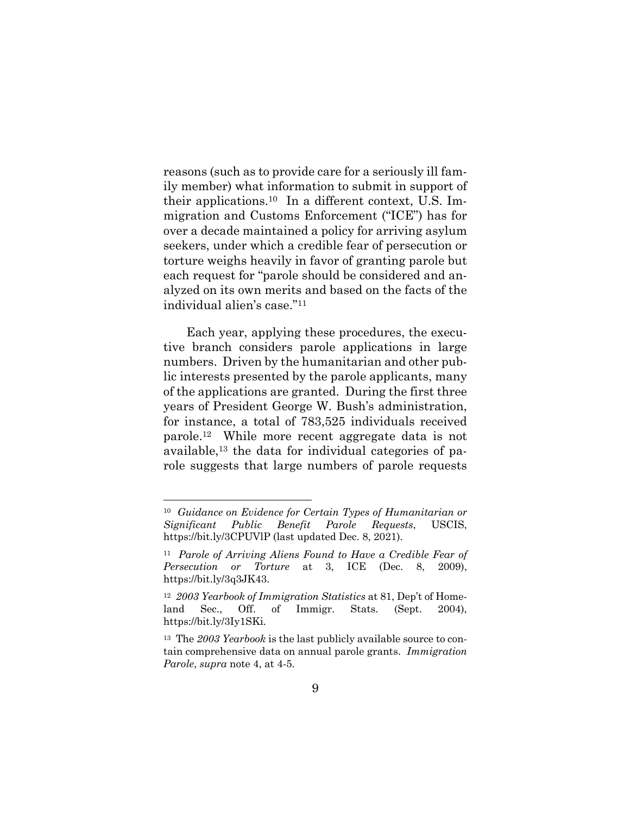reasons (such as to provide care for a seriously ill family member) what information to submit in support of their applications.<sup>10</sup> In a different context, U.S. Immigration and Customs Enforcement ("ICE") has for over a decade maintained a policy for arriving asylum seekers, under which a credible fear of persecution or torture weighs heavily in favor of granting parole but each request for "parole should be considered and analyzed on its own merits and based on the facts of the individual alien's case."<sup>11</sup>

Each year, applying these procedures, the executive branch considers parole applications in large numbers. Driven by the humanitarian and other public interests presented by the parole applicants, many of the applications are granted. During the first three years of President George W. Bush's administration, for instance, a total of 783,525 individuals received parole.12 While more recent aggregate data is not available,<sup>13</sup> the data for individual categories of parole suggests that large numbers of parole requests

<sup>10</sup> *Guidance on Evidence for Certain Types of Humanitarian or Significant Public Benefit Parole Requests*, USCIS, https://bit.ly/3CPUVlP (last updated Dec. 8, 2021).

<sup>11</sup> *Parole of Arriving Aliens Found to Have a Credible Fear of Persecution or Torture* at 3, ICE (Dec. 8, 2009), https://bit.ly/3q3JK43.

<sup>12</sup> *2003 Yearbook of Immigration Statistics* at 81, Dep't of Homeland Sec., Off. of Immigr. Stats. (Sept. 2004), https://bit.ly/3Iy1SKi.

<sup>13</sup> The *2003 Yearbook* is the last publicly available source to contain comprehensive data on annual parole grants. *Immigration Parole*, *supra* note 4, at 4-5.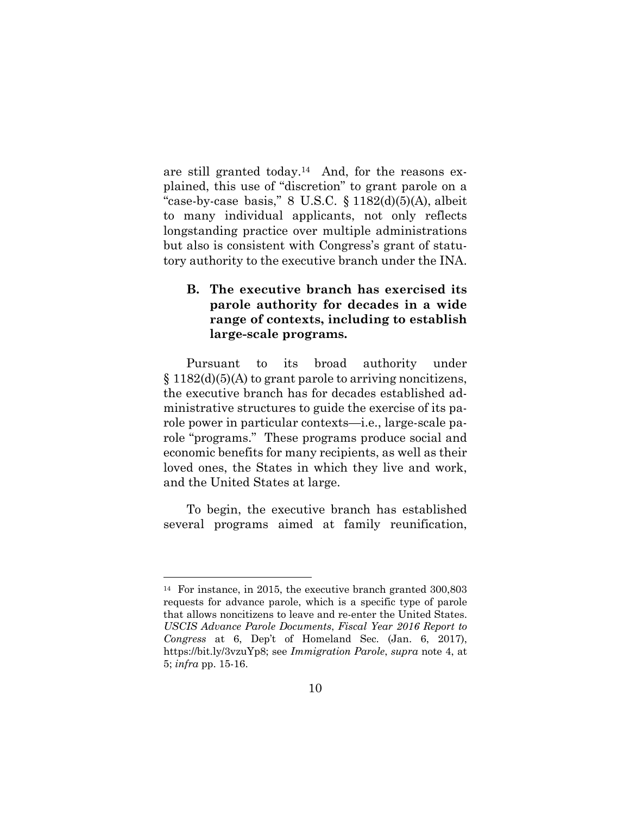are still granted today.14 And, for the reasons explained, this use of "discretion" to grant parole on a "case-by-case basis,"  $8$  U.S.C.  $\S$  1182(d)(5)(A), albeit to many individual applicants, not only reflects longstanding practice over multiple administrations but also is consistent with Congress's grant of statutory authority to the executive branch under the INA.

### **B. The executive branch has exercised its parole authority for decades in a wide range of contexts, including to establish large-scale programs.**

Pursuant to its broad authority under  $§ 1182(d)(5)(A)$  to grant parole to arriving noncitizens, the executive branch has for decades established administrative structures to guide the exercise of its parole power in particular contexts—i.e., large-scale parole "programs." These programs produce social and economic benefits for many recipients, as well as their loved ones, the States in which they live and work, and the United States at large.

To begin, the executive branch has established several programs aimed at family reunification,

<sup>14</sup> For instance, in 2015, the executive branch granted 300,803 requests for advance parole, which is a specific type of parole that allows noncitizens to leave and re-enter the United States. *USCIS Advance Parole Documents*, *Fiscal Year 2016 Report to Congress* at 6, Dep't of Homeland Sec. (Jan. 6, 2017), https://bit.ly/3vzuYp8; see *Immigration Parole*, *supra* note 4, at 5; *infra* pp. 15-16.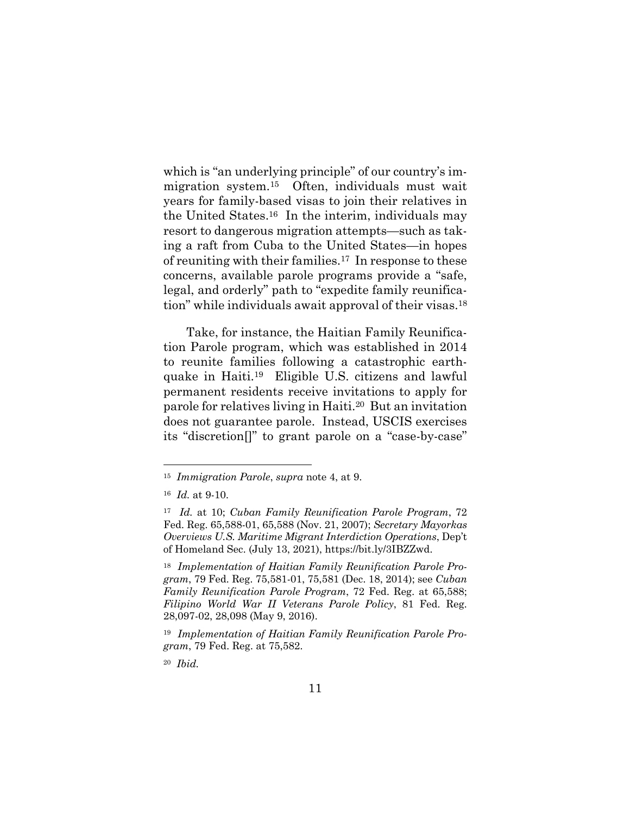which is "an underlying principle" of our country's immigration system.15 Often, individuals must wait years for family-based visas to join their relatives in the United States.16 In the interim, individuals may resort to dangerous migration attempts—such as taking a raft from Cuba to the United States—in hopes of reuniting with their families.17 In response to these concerns, available parole programs provide a "safe, legal, and orderly" path to "expedite family reunification" while individuals await approval of their visas.<sup>18</sup>

Take, for instance, the Haitian Family Reunification Parole program, which was established in 2014 to reunite families following a catastrophic earthquake in Haiti.19 Eligible U.S. citizens and lawful permanent residents receive invitations to apply for parole for relatives living in Haiti.20 But an invitation does not guarantee parole. Instead, USCIS exercises its "discretion[]" to grant parole on a "case-by-case"

<sup>15</sup> *Immigration Parole*, *supra* note 4, at 9.

<sup>16</sup> *Id.* at 9-10.

<sup>17</sup> *Id.* at 10; *Cuban Family Reunification Parole Program*, 72 Fed. Reg. 65,588-01, 65,588 (Nov. 21, 2007); *Secretary Mayorkas Overviews U.S. Maritime Migrant Interdiction Operations*, Dep't of Homeland Sec. (July 13, 2021), https://bit.ly/3IBZZwd.

<sup>18</sup> *Implementation of Haitian Family Reunification Parole Program*, 79 Fed. Reg. 75,581-01, 75,581 (Dec. 18, 2014); see *Cuban Family Reunification Parole Program*, 72 Fed. Reg. at 65,588; *Filipino World War II Veterans Parole Policy*, 81 Fed. Reg. 28,097-02, 28,098 (May 9, 2016).

<sup>19</sup> *Implementation of Haitian Family Reunification Parole Program*, 79 Fed. Reg. at 75,582.

<sup>20</sup> *Ibid.*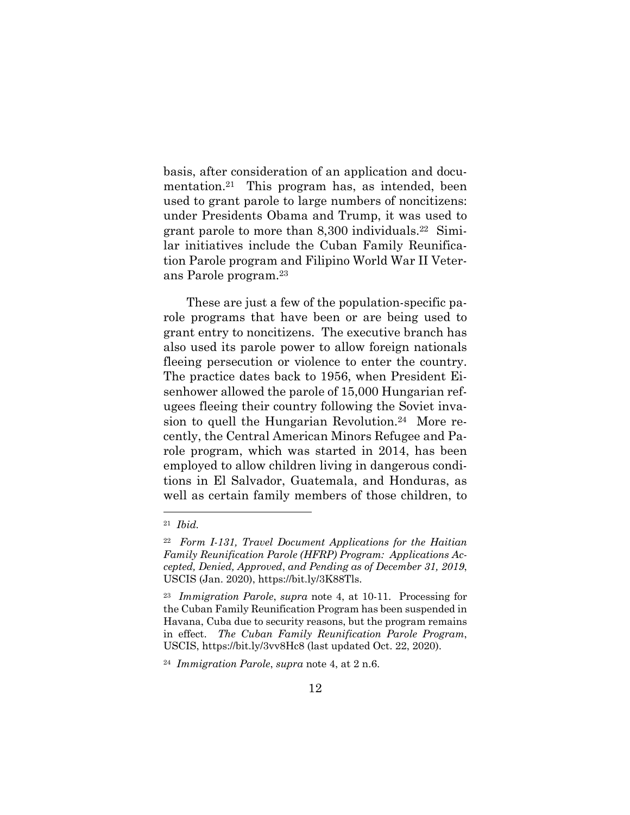basis, after consideration of an application and documentation.21 This program has, as intended, been used to grant parole to large numbers of noncitizens: under Presidents Obama and Trump, it was used to grant parole to more than  $8,300$  individuals.<sup>22</sup> Similar initiatives include the Cuban Family Reunification Parole program and Filipino World War II Veterans Parole program.<sup>23</sup>

These are just a few of the population-specific parole programs that have been or are being used to grant entry to noncitizens. The executive branch has also used its parole power to allow foreign nationals fleeing persecution or violence to enter the country. The practice dates back to 1956, when President Eisenhower allowed the parole of 15,000 Hungarian refugees fleeing their country following the Soviet invasion to quell the Hungarian Revolution.<sup>24</sup> More recently, the Central American Minors Refugee and Parole program, which was started in 2014, has been employed to allow children living in dangerous conditions in El Salvador, Guatemala, and Honduras, as well as certain family members of those children, to

<sup>21</sup> *Ibid.*

<sup>22</sup> *Form I-131, Travel Document Applications for the Haitian Family Reunification Parole (HFRP) Program: Applications Accepted, Denied, Approved*, *and Pending as of December 31, 2019*, USCIS (Jan. 2020), https://bit.ly/3K88Tls.

<sup>23</sup> *Immigration Parole*, *supra* note 4, at 10-11. Processing for the Cuban Family Reunification Program has been suspended in Havana, Cuba due to security reasons, but the program remains in effect. *The Cuban Family Reunification Parole Program*, USCIS, https://bit.ly/3vv8Hc8 (last updated Oct. 22, 2020).

<sup>24</sup> *Immigration Parole*, *supra* note 4, at 2 n.6.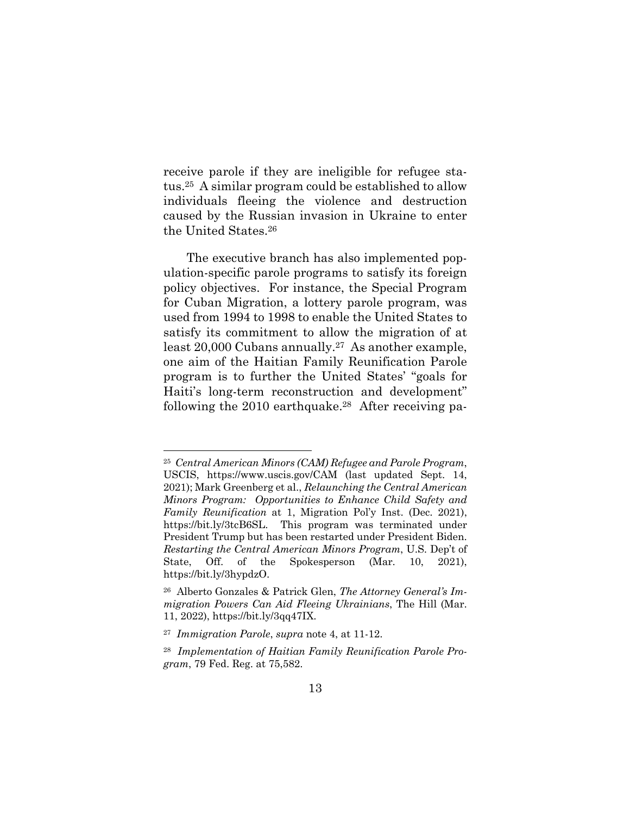receive parole if they are ineligible for refugee status.25 A similar program could be established to allow individuals fleeing the violence and destruction caused by the Russian invasion in Ukraine to enter the United States.<sup>26</sup>

The executive branch has also implemented population-specific parole programs to satisfy its foreign policy objectives. For instance, the Special Program for Cuban Migration, a lottery parole program, was used from 1994 to 1998 to enable the United States to satisfy its commitment to allow the migration of at least 20,000 Cubans annually.27 As another example, one aim of the Haitian Family Reunification Parole program is to further the United States' "goals for Haiti's long-term reconstruction and development" following the 2010 earthquake.<sup>28</sup> After receiving pa-

<sup>25</sup> *Central American Minors (CAM) Refugee and Parole Program*, USCIS, https://www.uscis.gov/CAM (last updated Sept. 14, 2021); Mark Greenberg et al., *Relaunching the Central American Minors Program: Opportunities to Enhance Child Safety and Family Reunification* at 1, Migration Pol'y Inst. (Dec. 2021), https://bit.ly/3tcB6SL. This program was terminated under President Trump but has been restarted under President Biden. *Restarting the Central American Minors Program*, U.S. Dep't of State, Off. of the Spokesperson (Mar. 10, 2021), https://bit.ly/3hypdzO.

<sup>26</sup> Alberto Gonzales & Patrick Glen, *The Attorney General's Immigration Powers Can Aid Fleeing Ukrainians*, The Hill (Mar. 11, 2022), https://bit.ly/3qq47IX.

<sup>27</sup> *Immigration Parole*, *supra* note 4, at 11-12.

<sup>28</sup> *Implementation of Haitian Family Reunification Parole Program*, 79 Fed. Reg. at 75,582.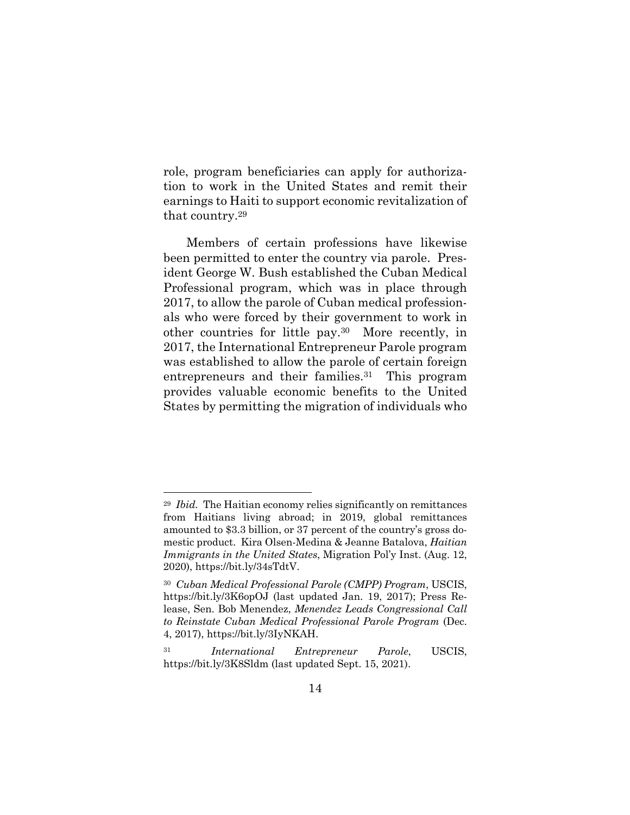role, program beneficiaries can apply for authorization to work in the United States and remit their earnings to Haiti to support economic revitalization of that country.<sup>29</sup>

Members of certain professions have likewise been permitted to enter the country via parole. President George W. Bush established the Cuban Medical Professional program, which was in place through 2017, to allow the parole of Cuban medical professionals who were forced by their government to work in other countries for little pay.30 More recently, in 2017, the International Entrepreneur Parole program was established to allow the parole of certain foreign entrepreneurs and their families.<sup>31</sup> This program provides valuable economic benefits to the United States by permitting the migration of individuals who

<sup>29</sup> *Ibid.* The Haitian economy relies significantly on remittances from Haitians living abroad; in 2019, global remittances amounted to \$3.3 billion, or 37 percent of the country's gross domestic product. Kira Olsen-Medina & Jeanne Batalova, *Haitian Immigrants in the United States*, Migration Pol'y Inst. (Aug. 12, 2020), https://bit.ly/34sTdtV.

<sup>30</sup> *Cuban Medical Professional Parole (CMPP) Program*, USCIS, https://bit.ly/3K6opOJ (last updated Jan. 19, 2017); Press Release, Sen. Bob Menendez, *Menendez Leads Congressional Call to Reinstate Cuban Medical Professional Parole Program* (Dec. 4, 2017), https://bit.ly/3IyNKAH.

<sup>31</sup> *International Entrepreneur Parole*, USCIS, https://bit.ly/3K8Sldm (last updated Sept. 15, 2021).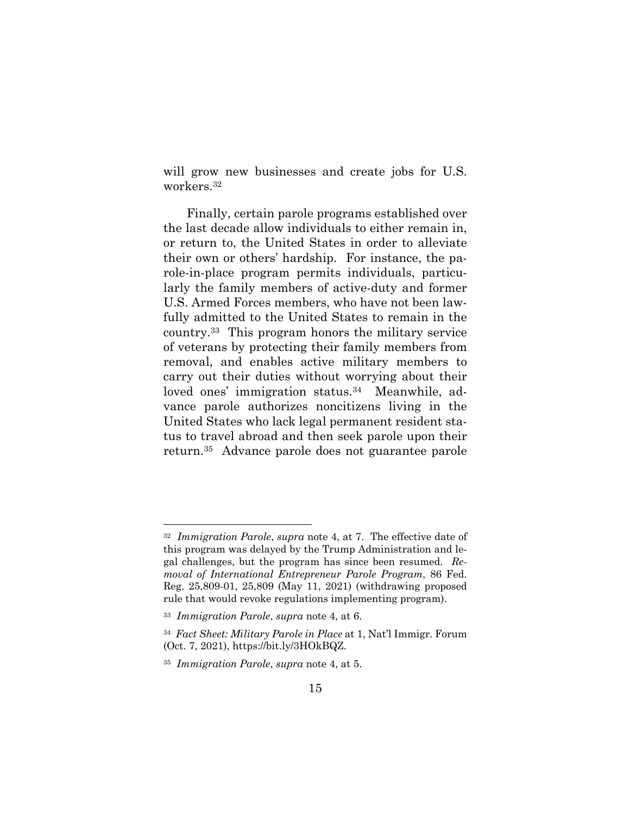will grow new businesses and create jobs for U.S. workers.<sup>32</sup>

Finally, certain parole programs established over the last decade allow individuals to either remain in, or return to, the United States in order to alleviate their own or others' hardship. For instance, the parole-in-place program permits individuals, particularly the family members of active-duty and former U.S. Armed Forces members, who have not been lawfully admitted to the United States to remain in the country.33 This program honors the military service of veterans by protecting their family members from removal, and enables active military members to carry out their duties without worrying about their loved ones' immigration status.<sup>34</sup> Meanwhile, advance parole authorizes noncitizens living in the United States who lack legal permanent resident status to travel abroad and then seek parole upon their return.35 Advance parole does not guarantee parole

<sup>32</sup> *Immigration Parole*, *supra* note 4, at 7. The effective date of this program was delayed by the Trump Administration and legal challenges, but the program has since been resumed. *Removal of International Entrepreneur Parole Program*, 86 Fed. Reg. 25,809-01, 25,809 (May 11, 2021) (withdrawing proposed rule that would revoke regulations implementing program).

<sup>33</sup> *Immigration Parole*, *supra* note 4, at 6.

<sup>34</sup> *Fact Sheet: Military Parole in Place* at 1, Nat'l Immigr. Forum (Oct. 7, 2021), https://bit.ly/3HOkBQZ.

<sup>35</sup> *Immigration Parole*, *supra* note 4, at 5.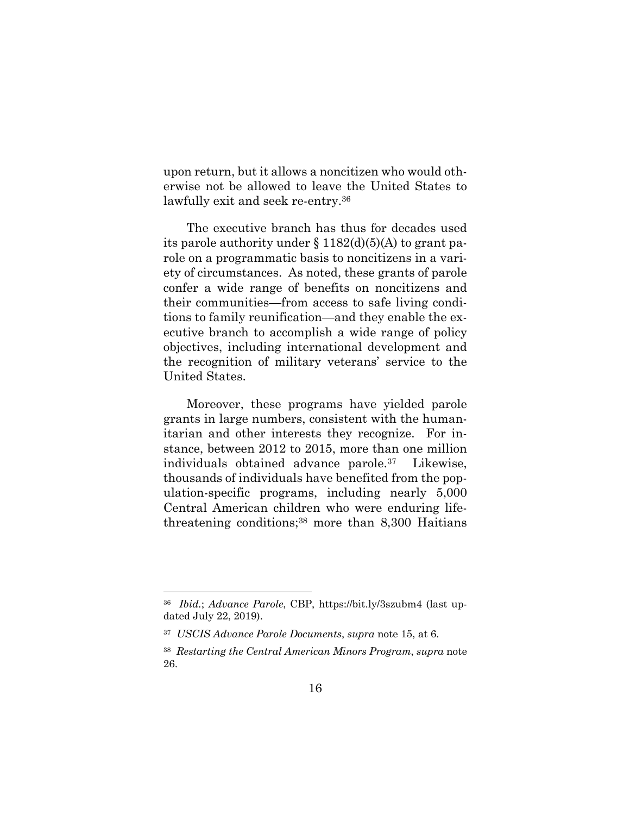upon return, but it allows a noncitizen who would otherwise not be allowed to leave the United States to lawfully exit and seek re-entry.<sup>36</sup>

The executive branch has thus for decades used its parole authority under  $\S 1182(d)(5)(A)$  to grant parole on a programmatic basis to noncitizens in a variety of circumstances. As noted, these grants of parole confer a wide range of benefits on noncitizens and their communities—from access to safe living conditions to family reunification—and they enable the executive branch to accomplish a wide range of policy objectives, including international development and the recognition of military veterans' service to the United States.

Moreover, these programs have yielded parole grants in large numbers, consistent with the humanitarian and other interests they recognize. For instance, between 2012 to 2015, more than one million individuals obtained advance parole.<sup>37</sup> Likewise, thousands of individuals have benefited from the population-specific programs, including nearly 5,000 Central American children who were enduring lifethreatening conditions;<sup>38</sup> more than 8,300 Haitians

<sup>36</sup> *Ibid.*; *Advance Parole*, CBP, https://bit.ly/3szubm4 (last updated July 22, 2019).

<sup>37</sup> *USCIS Advance Parole Documents*, *supra* note 15, at 6.

<sup>38</sup> *Restarting the Central American Minors Program*, *supra* note 26.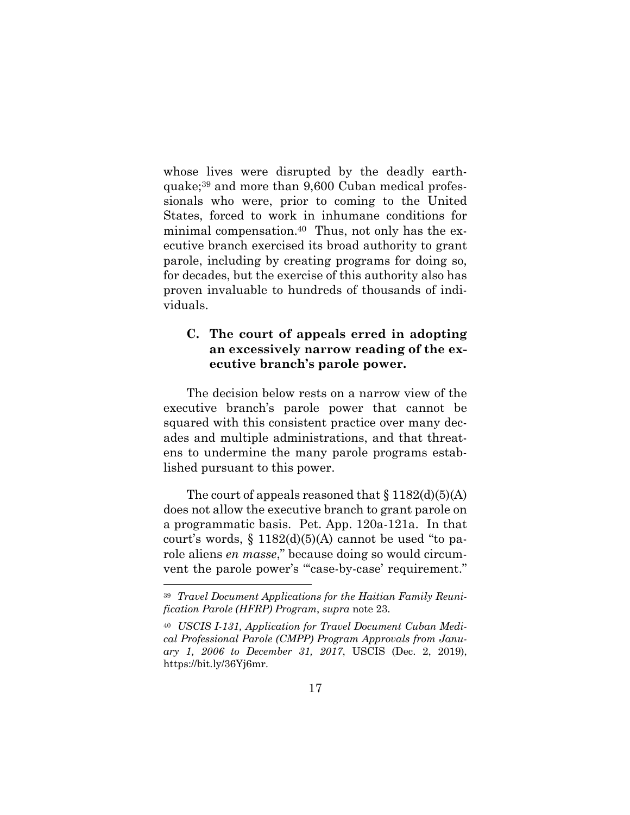whose lives were disrupted by the deadly earthquake;<sup>39</sup> and more than 9,600 Cuban medical professionals who were, prior to coming to the United States, forced to work in inhumane conditions for minimal compensation.40 Thus, not only has the executive branch exercised its broad authority to grant parole, including by creating programs for doing so, for decades, but the exercise of this authority also has proven invaluable to hundreds of thousands of individuals.

### **C. The court of appeals erred in adopting an excessively narrow reading of the executive branch's parole power.**

The decision below rests on a narrow view of the executive branch's parole power that cannot be squared with this consistent practice over many decades and multiple administrations, and that threatens to undermine the many parole programs established pursuant to this power.

The court of appeals reasoned that  $\S 1182(d)(5)(A)$ does not allow the executive branch to grant parole on a programmatic basis. Pet. App. 120a-121a. In that court's words,  $\S 1182(d)(5)(A)$  cannot be used "to parole aliens *en masse*," because doing so would circumvent the parole power's "'case-by-case' requirement."

<sup>39</sup> *Travel Document Applications for the Haitian Family Reunification Parole (HFRP) Program*, *supra* note 23.

<sup>40</sup> *USCIS I-131, Application for Travel Document Cuban Medical Professional Parole (CMPP) Program Approvals from January 1, 2006 to December 31, 2017*, USCIS (Dec. 2, 2019), https://bit.ly/36Yj6mr.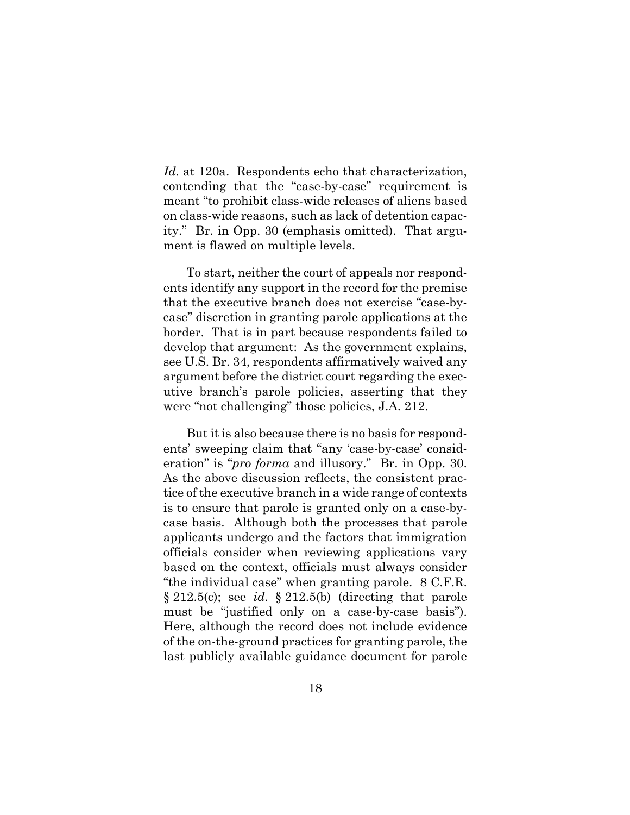*Id.* at 120a. Respondents echo that characterization, contending that the "case-by-case" requirement is meant "to prohibit class-wide releases of aliens based on class-wide reasons, such as lack of detention capacity." Br. in Opp. 30 (emphasis omitted). That argument is flawed on multiple levels.

To start, neither the court of appeals nor respondents identify any support in the record for the premise that the executive branch does not exercise "case-bycase" discretion in granting parole applications at the border. That is in part because respondents failed to develop that argument: As the government explains, see U.S. Br. 34, respondents affirmatively waived any argument before the district court regarding the executive branch's parole policies, asserting that they were "not challenging" those policies, J.A. 212.

But it is also because there is no basis for respondents' sweeping claim that "any 'case-by-case' consideration" is "*pro forma* and illusory." Br. in Opp. 30. As the above discussion reflects, the consistent practice of the executive branch in a wide range of contexts is to ensure that parole is granted only on a case-bycase basis. Although both the processes that parole applicants undergo and the factors that immigration officials consider when reviewing applications vary based on the context, officials must always consider "the individual case" when granting parole. 8 C.F.R. § 212.5(c); see *id.* § 212.5(b) (directing that parole must be "justified only on a case-by-case basis"). Here, although the record does not include evidence of the on-the-ground practices for granting parole, the last publicly available guidance document for parole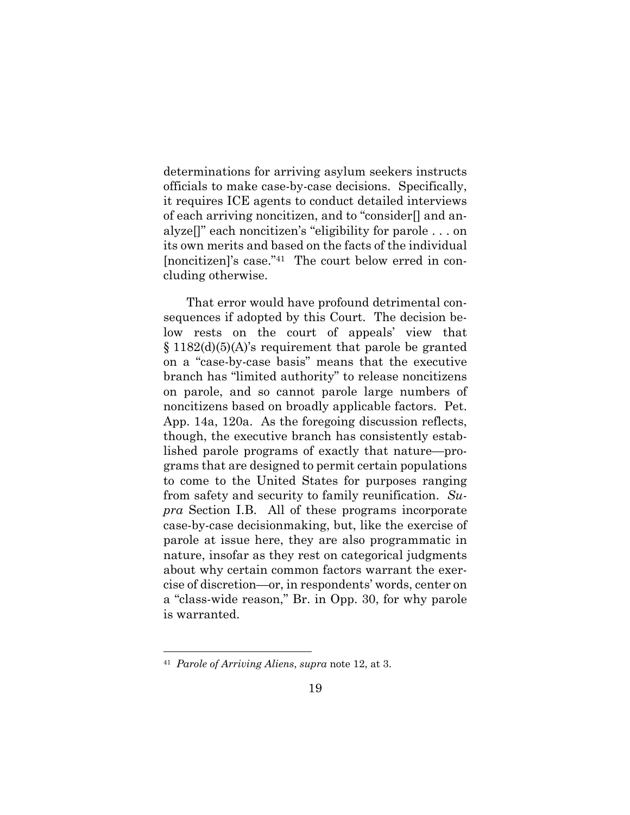determinations for arriving asylum seekers instructs officials to make case-by-case decisions. Specifically, it requires ICE agents to conduct detailed interviews of each arriving noncitizen, and to "consider[] and analyze[]" each noncitizen's "eligibility for parole . . . on its own merits and based on the facts of the individual [noncitizen]'s case."41 The court below erred in concluding otherwise.

That error would have profound detrimental consequences if adopted by this Court. The decision below rests on the court of appeals' view that  $§ 1182(d)(5)(A)$ 's requirement that parole be granted on a "case-by-case basis" means that the executive branch has "limited authority" to release noncitizens on parole, and so cannot parole large numbers of noncitizens based on broadly applicable factors. Pet. App. 14a, 120a. As the foregoing discussion reflects, though, the executive branch has consistently established parole programs of exactly that nature—programs that are designed to permit certain populations to come to the United States for purposes ranging from safety and security to family reunification. *Supra* Section I.B. All of these programs incorporate case-by-case decisionmaking, but, like the exercise of parole at issue here, they are also programmatic in nature, insofar as they rest on categorical judgments about why certain common factors warrant the exercise of discretion—or, in respondents' words, center on a "class-wide reason," Br. in Opp. 30, for why parole is warranted.

<sup>41</sup> *Parole of Arriving Aliens*, *supra* note 12, at 3.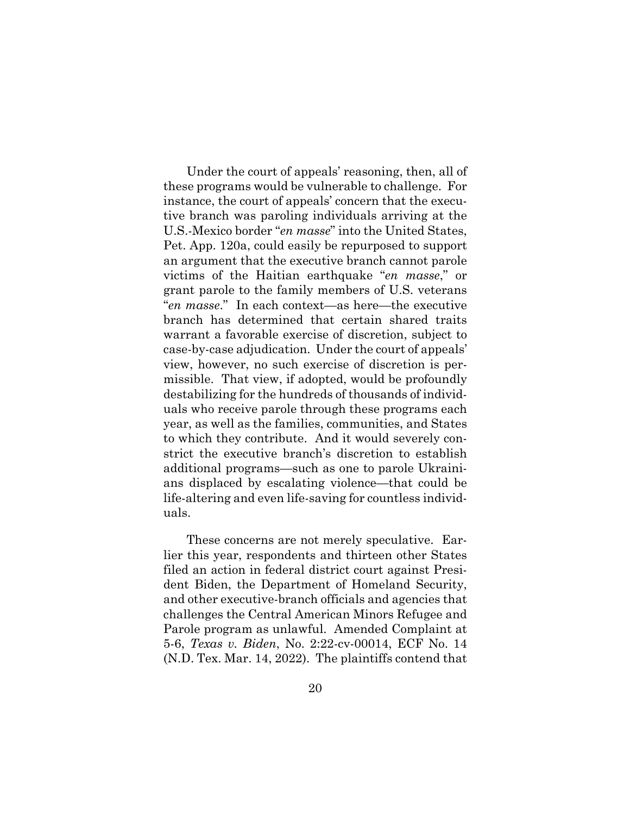Under the court of appeals' reasoning, then, all of these programs would be vulnerable to challenge. For instance, the court of appeals' concern that the executive branch was paroling individuals arriving at the U.S.-Mexico border "*en masse*" into the United States, Pet. App. 120a, could easily be repurposed to support an argument that the executive branch cannot parole victims of the Haitian earthquake "*en masse*," or grant parole to the family members of U.S. veterans "*en masse*." In each context—as here—the executive branch has determined that certain shared traits warrant a favorable exercise of discretion, subject to case-by-case adjudication. Under the court of appeals' view, however, no such exercise of discretion is permissible. That view, if adopted, would be profoundly destabilizing for the hundreds of thousands of individuals who receive parole through these programs each year, as well as the families, communities, and States to which they contribute. And it would severely constrict the executive branch's discretion to establish additional programs—such as one to parole Ukrainians displaced by escalating violence—that could be life-altering and even life-saving for countless individuals.

These concerns are not merely speculative. Earlier this year, respondents and thirteen other States filed an action in federal district court against President Biden, the Department of Homeland Security, and other executive-branch officials and agencies that challenges the Central American Minors Refugee and Parole program as unlawful. Amended Complaint at 5-6, *Texas v. Biden*, No. 2:22-cv-00014, ECF No. 14 (N.D. Tex. Mar. 14, 2022). The plaintiffs contend that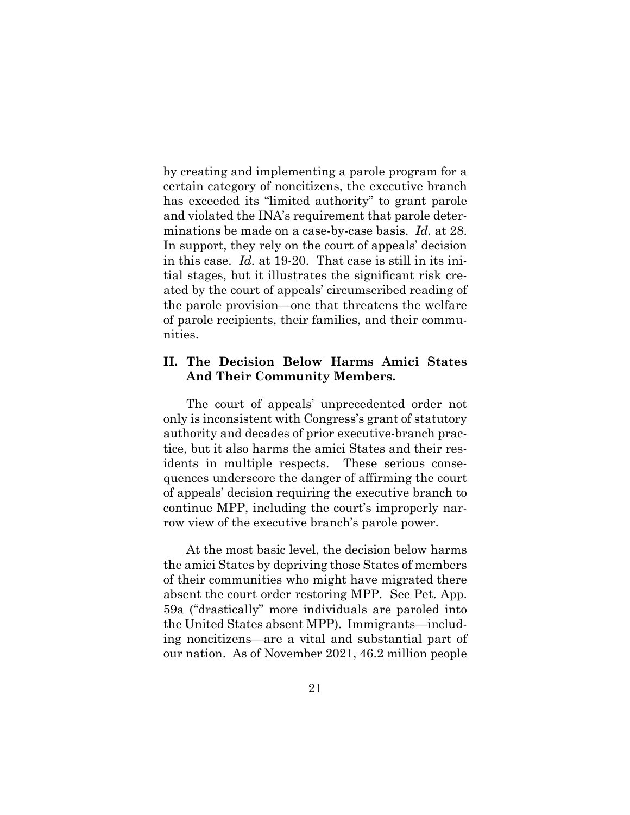by creating and implementing a parole program for a certain category of noncitizens, the executive branch has exceeded its "limited authority" to grant parole and violated the INA's requirement that parole determinations be made on a case-by-case basis. *Id.* at 28. In support, they rely on the court of appeals' decision in this case. *Id.* at 19-20. That case is still in its initial stages, but it illustrates the significant risk created by the court of appeals' circumscribed reading of the parole provision—one that threatens the welfare of parole recipients, their families, and their communities.

#### **II. The Decision Below Harms Amici States And Their Community Members.**

The court of appeals' unprecedented order not only is inconsistent with Congress's grant of statutory authority and decades of prior executive-branch practice, but it also harms the amici States and their residents in multiple respects. These serious consequences underscore the danger of affirming the court of appeals' decision requiring the executive branch to continue MPP, including the court's improperly narrow view of the executive branch's parole power.

At the most basic level, the decision below harms the amici States by depriving those States of members of their communities who might have migrated there absent the court order restoring MPP. See Pet. App. 59a ("drastically" more individuals are paroled into the United States absent MPP). Immigrants—including noncitizens—are a vital and substantial part of our nation. As of November 2021, 46.2 million people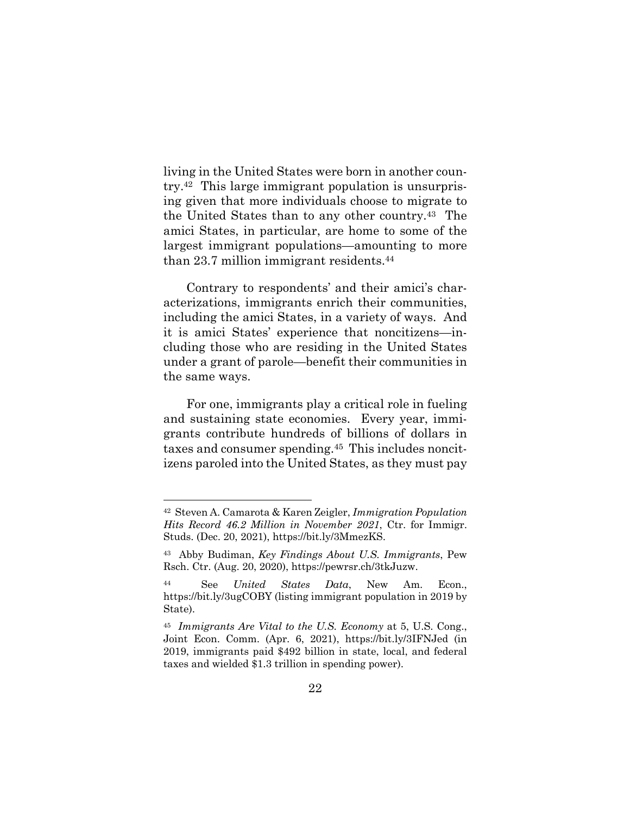living in the United States were born in another country.<sup>42</sup> This large immigrant population is unsurprising given that more individuals choose to migrate to the United States than to any other country.43 The amici States, in particular, are home to some of the largest immigrant populations—amounting to more than 23.7 million immigrant residents.<sup>44</sup>

Contrary to respondents' and their amici's characterizations, immigrants enrich their communities, including the amici States, in a variety of ways. And it is amici States' experience that noncitizens—including those who are residing in the United States under a grant of parole—benefit their communities in the same ways.

For one, immigrants play a critical role in fueling and sustaining state economies. Every year, immigrants contribute hundreds of billions of dollars in taxes and consumer spending.45 This includes noncitizens paroled into the United States, as they must pay

<sup>42</sup> Steven A. Camarota & Karen Zeigler, *Immigration Population Hits Record 46.2 Million in November 2021*, Ctr. for Immigr. Studs. (Dec. 20, 2021), https://bit.ly/3MmezKS.

<sup>43</sup> Abby Budiman, *Key Findings About U.S. Immigrants*, Pew Rsch. Ctr. (Aug. 20, 2020), https://pewrsr.ch/3tkJuzw.

<sup>44</sup> See *United States Data*, New Am. Econ., https://bit.ly/3ugCOBY (listing immigrant population in 2019 by State).

<sup>45</sup> *Immigrants Are Vital to the U.S. Economy* at 5, U.S. Cong., Joint Econ. Comm. (Apr. 6, 2021), https://bit.ly/3IFNJed (in 2019, immigrants paid \$492 billion in state, local, and federal taxes and wielded \$1.3 trillion in spending power).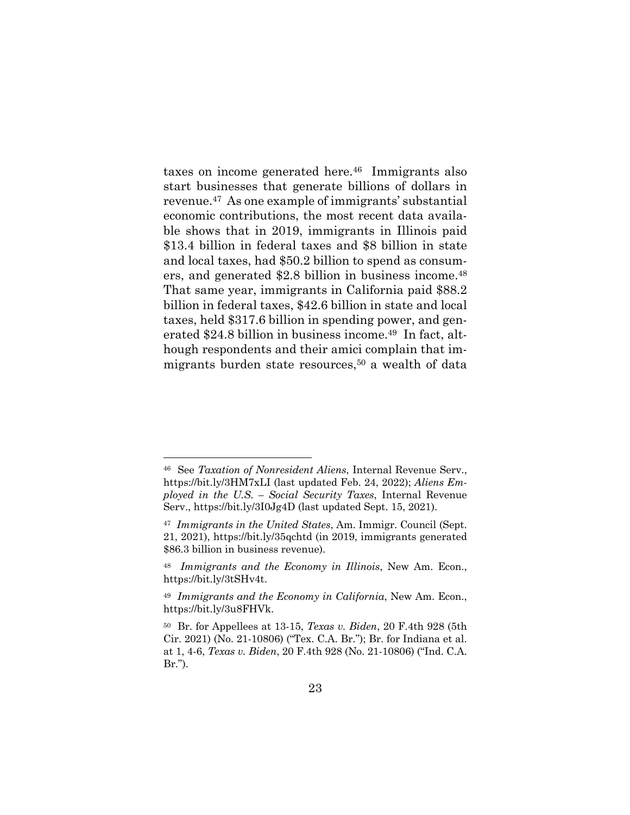taxes on income generated here.46 Immigrants also start businesses that generate billions of dollars in revenue.47 As one example of immigrants' substantial economic contributions, the most recent data available shows that in 2019, immigrants in Illinois paid \$13.4 billion in federal taxes and \$8 billion in state and local taxes, had \$50.2 billion to spend as consumers, and generated \$2.8 billion in business income.<sup>48</sup> That same year, immigrants in California paid \$88.2 billion in federal taxes, \$42.6 billion in state and local taxes, held \$317.6 billion in spending power, and generated \$24.8 billion in business income.<sup>49</sup> In fact, although respondents and their amici complain that immigrants burden state resources,<sup>50</sup> a wealth of data

<sup>46</sup> See *Taxation of Nonresident Aliens*, Internal Revenue Serv., https://bit.ly/3HM7xLI (last updated Feb. 24, 2022); *Aliens Employed in the U.S. – Social Security Taxes*, Internal Revenue Serv., https://bit.ly/3I0Jg4D (last updated Sept. 15, 2021).

<sup>47</sup> *Immigrants in the United States*, Am. Immigr. Council (Sept. 21, 2021), https://bit.ly/35qchtd (in 2019, immigrants generated \$86.3 billion in business revenue).

<sup>48</sup> *Immigrants and the Economy in Illinois*, New Am. Econ., https://bit.ly/3tSHv4t.

<sup>49</sup> *Immigrants and the Economy in California*, New Am. Econ., https://bit.ly/3u8FHVk.

<sup>50</sup> Br. for Appellees at 13-15, *Texas v. Biden*, 20 F.4th 928 (5th Cir. 2021) (No. 21-10806) ("Tex. C.A. Br."); Br. for Indiana et al. at 1, 4-6, *Texas v. Biden*, 20 F.4th 928 (No. 21-10806) ("Ind. C.A. Br.").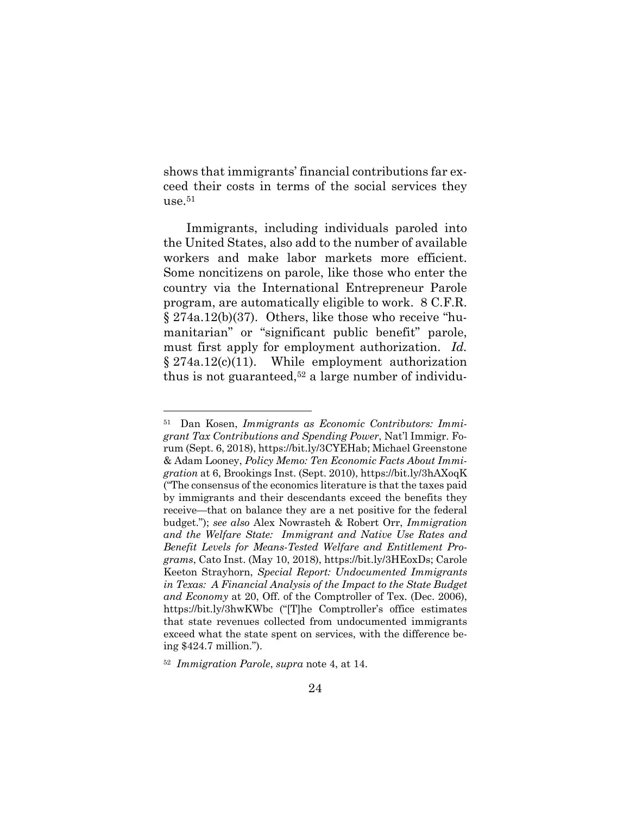shows that immigrants' financial contributions far exceed their costs in terms of the social services they  $use.^{51}$ 

Immigrants, including individuals paroled into the United States, also add to the number of available workers and make labor markets more efficient. Some noncitizens on parole, like those who enter the country via the International Entrepreneur Parole program, are automatically eligible to work. 8 C.F.R. § 274a.12(b)(37). Others, like those who receive "humanitarian" or "significant public benefit" parole, must first apply for employment authorization. *Id.*  $§ 274a.12(c)(11)$ . While employment authorization thus is not guaranteed,<sup>52</sup> a large number of individu-

<sup>51</sup> Dan Kosen, *Immigrants as Economic Contributors: Immigrant Tax Contributions and Spending Power*, Nat'l Immigr. Forum (Sept. 6, 2018), https://bit.ly/3CYEHab; Michael Greenstone & Adam Looney, *Policy Memo: Ten Economic Facts About Immigration* at 6, Brookings Inst. (Sept. 2010), https://bit.ly/3hAXoqK ("The consensus of the economics literature is that the taxes paid by immigrants and their descendants exceed the benefits they receive—that on balance they are a net positive for the federal budget."); *see also* Alex Nowrasteh & Robert Orr, *Immigration and the Welfare State: Immigrant and Native Use Rates and Benefit Levels for Means-Tested Welfare and Entitlement Programs*, Cato Inst. (May 10, 2018), https://bit.ly/3HEoxDs; Carole Keeton Strayhorn, *Special Report: Undocumented Immigrants in Texas: A Financial Analysis of the Impact to the State Budget and Economy* at 20, Off. of the Comptroller of Tex. (Dec. 2006), https://bit.ly/3hwKWbc ("[T]he Comptroller's office estimates that state revenues collected from undocumented immigrants exceed what the state spent on services, with the difference being \$424.7 million.").

<sup>52</sup> *Immigration Parole*, *supra* note 4, at 14.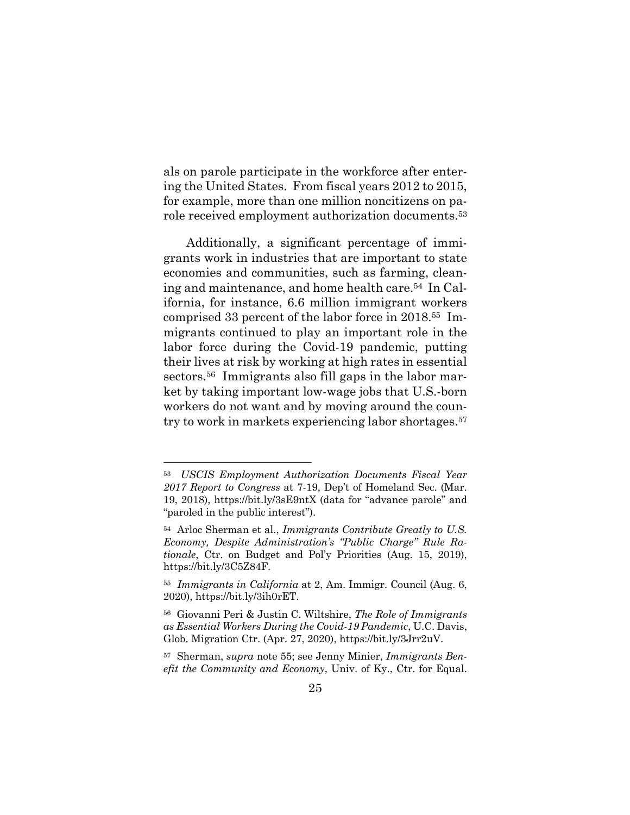als on parole participate in the workforce after entering the United States. From fiscal years 2012 to 2015, for example, more than one million noncitizens on parole received employment authorization documents.<sup>53</sup>

Additionally, a significant percentage of immigrants work in industries that are important to state economies and communities, such as farming, cleaning and maintenance, and home health care.<sup>54</sup> In California, for instance, 6.6 million immigrant workers comprised 33 percent of the labor force in 2018.55 Immigrants continued to play an important role in the labor force during the Covid-19 pandemic, putting their lives at risk by working at high rates in essential sectors.<sup>56</sup> Immigrants also fill gaps in the labor market by taking important low-wage jobs that U.S.-born workers do not want and by moving around the country to work in markets experiencing labor shortages.<sup>57</sup>

<sup>53</sup> *USCIS Employment Authorization Documents Fiscal Year 2017 Report to Congress* at 7-19, Dep't of Homeland Sec. (Mar. 19, 2018), https://bit.ly/3sE9ntX (data for "advance parole" and "paroled in the public interest").

<sup>54</sup> Arloc Sherman et al., *Immigrants Contribute Greatly to U.S. Economy, Despite Administration's "Public Charge" Rule Rationale*, Ctr. on Budget and Pol'y Priorities (Aug. 15, 2019), https://bit.ly/3C5Z84F.

<sup>55</sup> *Immigrants in California* at 2, Am. Immigr. Council (Aug. 6, 2020), https://bit.ly/3ih0rET.

<sup>56</sup> Giovanni Peri & Justin C. Wiltshire, *The Role of Immigrants as Essential Workers During the Covid-19 Pandemic*, U.C. Davis, Glob. Migration Ctr. (Apr. 27, 2020), https://bit.ly/3Jrr2uV.

<sup>57</sup> Sherman, *supra* note 55; see Jenny Minier, *Immigrants Benefit the Community and Economy*, Univ. of Ky., Ctr. for Equal.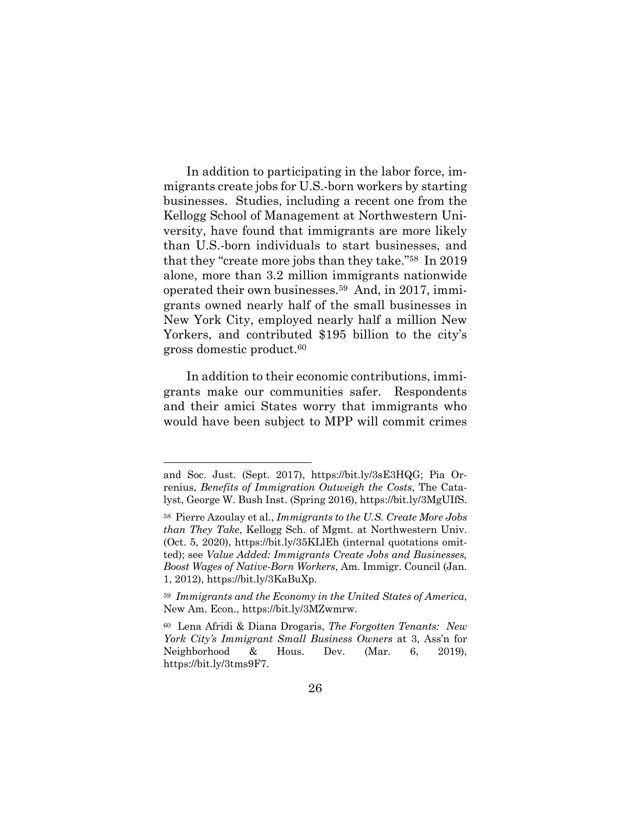In addition to participating in the labor force, immigrants create jobs for U.S.-born workers by starting businesses. Studies, including a recent one from the Kellogg School of Management at Northwestern University, have found that immigrants are more likely than U.S.-born individuals to start businesses, and that they "create more jobs than they take."58 In 2019 alone, more than 3.2 million immigrants nationwide operated their own businesses.59 And, in 2017, immigrants owned nearly half of the small businesses in New York City, employed nearly half a million New Yorkers, and contributed \$195 billion to the city's gross domestic product.<sup>60</sup>

In addition to their economic contributions, immigrants make our communities safer. Respondents and their amici States worry that immigrants who would have been subject to MPP will commit crimes

and Soc. Just. (Sept. 2017), https://bit.ly/3sE3HQG; Pia Orrenius, *Benefits of Immigration Outweigh the Costs*, The Catalyst, George W. Bush Inst. (Spring 2016), https://bit.ly/3MgUIfS.

<sup>58</sup> Pierre Azoulay et al., *Immigrants to the U.S. Create More Jobs than They Take*, Kellogg Sch. of Mgmt. at Northwestern Univ. (Oct. 5, 2020), https://bit.ly/35KLlEh (internal quotations omitted); see *Value Added: Immigrants Create Jobs and Businesses, Boost Wages of Native-Born Workers*, Am. Immigr. Council (Jan. 1, 2012), https://bit.ly/3KaBuXp.

<sup>59</sup> *Immigrants and the Economy in the United States of America*, New Am. Econ., https://bit.ly/3MZwmrw.

<sup>60</sup> Lena Afridi & Diana Drogaris, *The Forgotten Tenants: New York City's Immigrant Small Business Owners* at 3, Ass'n for Neighborhood & Hous. Dev. (Mar. 6, 2019), https://bit.ly/3tms9F7.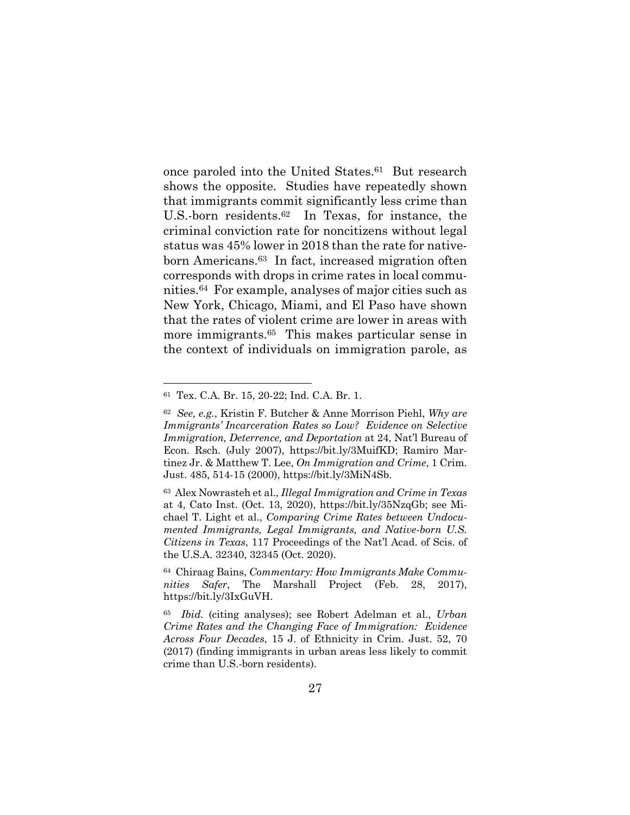once paroled into the United States.61 But research shows the opposite. Studies have repeatedly shown that immigrants commit significantly less crime than U.S.-born residents.62 In Texas, for instance, the criminal conviction rate for noncitizens without legal status was 45% lower in 2018 than the rate for nativeborn Americans.63 In fact, increased migration often corresponds with drops in crime rates in local communities.64 For example, analyses of major cities such as New York, Chicago, Miami, and El Paso have shown that the rates of violent crime are lower in areas with more immigrants.65 This makes particular sense in the context of individuals on immigration parole, as

<sup>61</sup> Tex. C.A. Br. 15, 20-22; Ind. C.A. Br. 1.

<sup>62</sup> *See, e.g.*, Kristin F. Butcher & Anne Morrison Piehl, *Why are Immigrants' Incarceration Rates so Low? Evidence on Selective Immigration, Deterrence, and Deportation* at 24, Nat'l Bureau of Econ. Rsch. (July 2007), https://bit.ly/3MuifKD; Ramiro Martinez Jr. & Matthew T. Lee, *On Immigration and Crime*, 1 Crim. Just. 485, 514-15 (2000), https://bit.ly/3MiN4Sb.

<sup>63</sup> Alex Nowrasteh et al., *Illegal Immigration and Crime in Texas* at 4, Cato Inst. (Oct. 13, 2020), https://bit.ly/35NzqGb; see Michael T. Light et al., *Comparing Crime Rates between Undocumented Immigrants, Legal Immigrants, and Native-born U.S. Citizens in Texas*, 117 Proceedings of the Nat'l Acad. of Scis. of the U.S.A. 32340, 32345 (Oct. 2020).

<sup>64</sup> Chiraag Bains, *Commentary: How Immigrants Make Communities Safer*, The Marshall Project (Feb. 28, 2017), https://bit.ly/3IxGuVH.

<sup>65</sup> *Ibid.* (citing analyses); see Robert Adelman et al., *Urban Crime Rates and the Changing Face of Immigration: Evidence Across Four Decades*, 15 J. of Ethnicity in Crim. Just. 52, 70 (2017) (finding immigrants in urban areas less likely to commit crime than U.S.-born residents).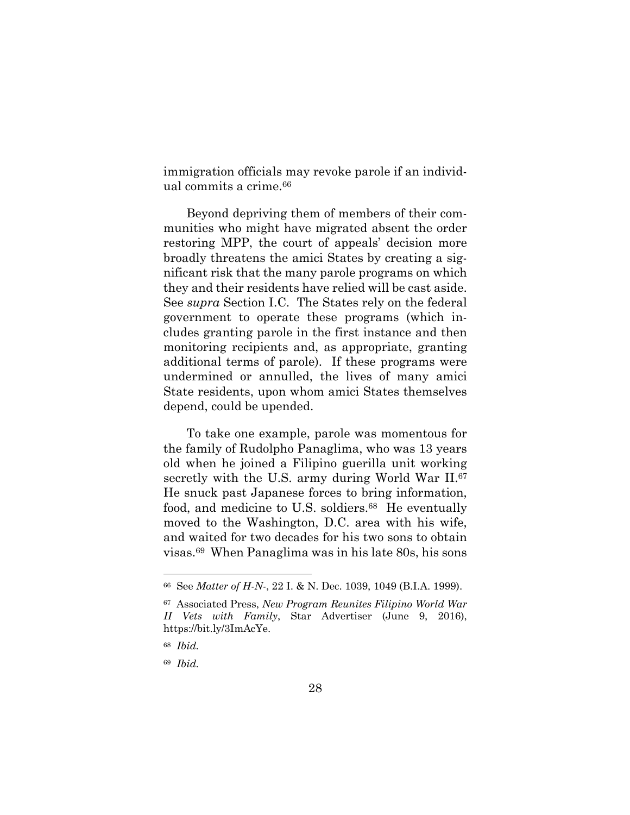immigration officials may revoke parole if an individual commits a crime.<sup>66</sup>

Beyond depriving them of members of their communities who might have migrated absent the order restoring MPP, the court of appeals' decision more broadly threatens the amici States by creating a significant risk that the many parole programs on which they and their residents have relied will be cast aside. See *supra* Section I.C. The States rely on the federal government to operate these programs (which includes granting parole in the first instance and then monitoring recipients and, as appropriate, granting additional terms of parole). If these programs were undermined or annulled, the lives of many amici State residents, upon whom amici States themselves depend, could be upended.

To take one example, parole was momentous for the family of Rudolpho Panaglima, who was 13 years old when he joined a Filipino guerilla unit working secretly with the U.S. army during World War II.<sup>67</sup> He snuck past Japanese forces to bring information, food, and medicine to U.S. soldiers.<sup>68</sup> He eventually moved to the Washington, D.C. area with his wife, and waited for two decades for his two sons to obtain visas.<sup>69</sup> When Panaglima was in his late 80s, his sons

<sup>66</sup> See *Matter of H-N-*, 22 I. & N. Dec. 1039, 1049 (B.I.A. 1999).

<sup>67</sup> Associated Press, *New Program Reunites Filipino World War II Vets with Family*, Star Advertiser (June 9, 2016), https://bit.ly/3ImAcYe.

<sup>68</sup> *Ibid.*

<sup>69</sup> *Ibid.*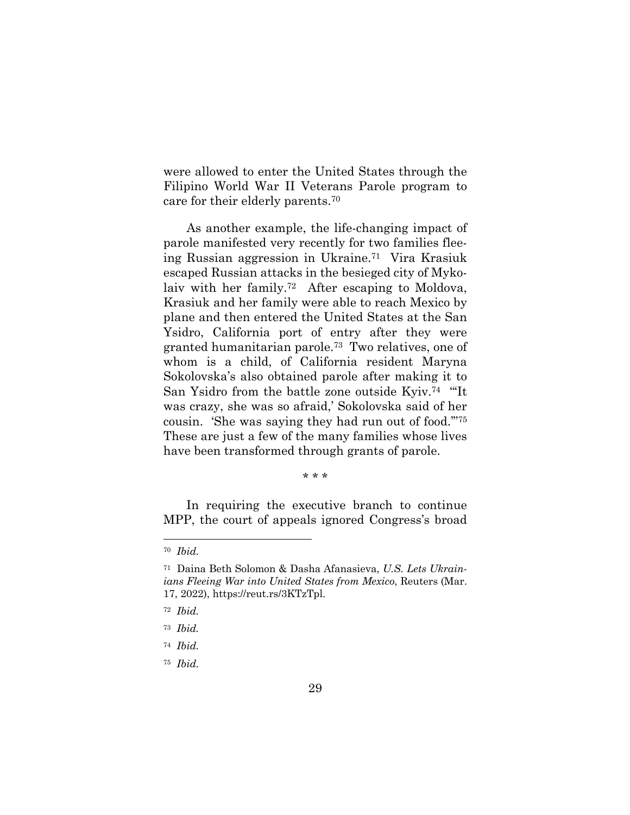were allowed to enter the United States through the Filipino World War II Veterans Parole program to care for their elderly parents.<sup>70</sup>

As another example, the life-changing impact of parole manifested very recently for two families fleeing Russian aggression in Ukraine.<sup>71</sup> Vira Krasiuk escaped Russian attacks in the besieged city of Mykolaiv with her family.<sup>72</sup> After escaping to Moldova, Krasiuk and her family were able to reach Mexico by plane and then entered the United States at the San Ysidro, California port of entry after they were granted humanitarian parole.<sup>73</sup> Two relatives, one of whom is a child, of California resident Maryna Sokolovska's also obtained parole after making it to San Ysidro from the battle zone outside Kyiv.<sup>74</sup> "'It was crazy, she was so afraid,' Sokolovska said of her cousin. 'She was saying they had run out of food.'"<sup>75</sup> These are just a few of the many families whose lives have been transformed through grants of parole.

#### \* \* \*

In requiring the executive branch to continue MPP, the court of appeals ignored Congress's broad

<sup>70</sup> *Ibid.*

<sup>71</sup> Daina Beth Solomon & Dasha Afanasieva, *U.S. Lets Ukrainians Fleeing War into United States from Mexico*, Reuters (Mar. 17, 2022), https://reut.rs/3KTzTpl.

<sup>72</sup> *Ibid.*

<sup>73</sup> *Ibid.*

<sup>74</sup> *Ibid.*

<sup>75</sup> *Ibid.*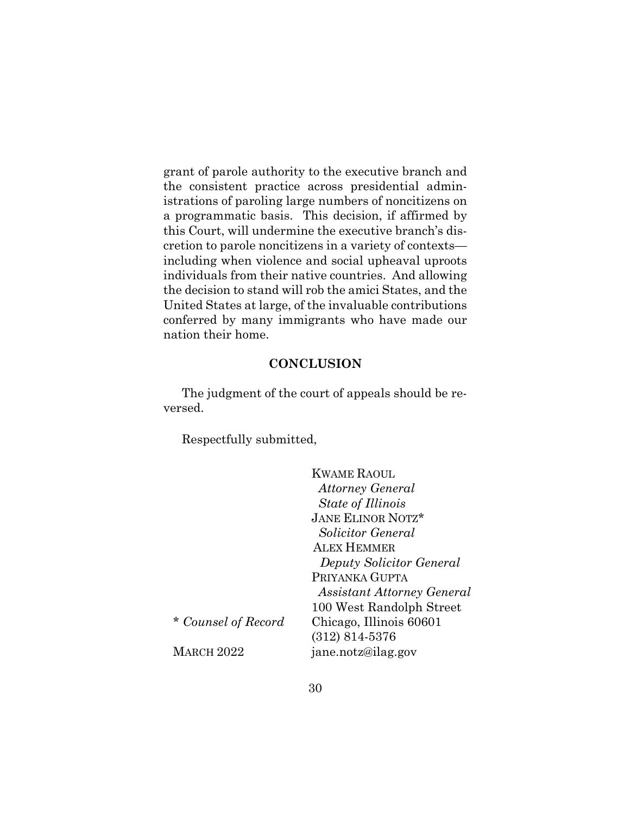grant of parole authority to the executive branch and the consistent practice across presidential administrations of paroling large numbers of noncitizens on a programmatic basis. This decision, if affirmed by this Court, will undermine the executive branch's discretion to parole noncitizens in a variety of contexts including when violence and social upheaval uproots individuals from their native countries. And allowing the decision to stand will rob the amici States, and the United States at large, of the invaluable contributions conferred by many immigrants who have made our nation their home.

#### **CONCLUSION**

The judgment of the court of appeals should be reversed.

Respectfully submitted,

|                     | <b>KWAME RAOUL</b>         |
|---------------------|----------------------------|
|                     | <b>Attorney General</b>    |
|                     | <i>State of Illinois</i>   |
|                     | <b>JANE ELINOR NOTZ*</b>   |
|                     | Solicitor General          |
|                     | <b>ALEX HEMMER</b>         |
|                     | Deputy Solicitor General   |
|                     | PRIYANKA GUPTA             |
|                     | Assistant Attorney General |
|                     | 100 West Randolph Street   |
| * Counsel of Record | Chicago, Illinois 60601    |
|                     | $(312) 814 - 5376$         |
| <b>MARCH 2022</b>   | jane.notz@ilag.gov         |
|                     |                            |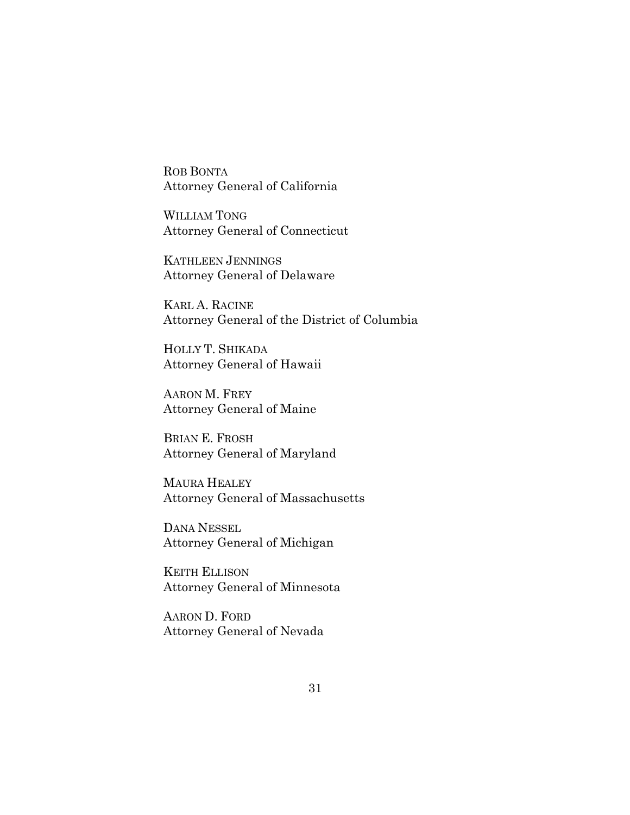ROB BONTA Attorney General of California

WILLIAM TONG Attorney General of Connecticut

KATHLEEN JENNINGS Attorney General of Delaware

KARL A. RACINE Attorney General of the District of Columbia

HOLLY T. SHIKADA Attorney General of Hawaii

AARON M. FREY Attorney General of Maine

BRIAN E. FROSH Attorney General of Maryland

MAURA HEALEY Attorney General of Massachusetts

DANA NESSEL Attorney General of Michigan

KEITH ELLISON Attorney General of Minnesota

AARON D. FORD Attorney General of Nevada